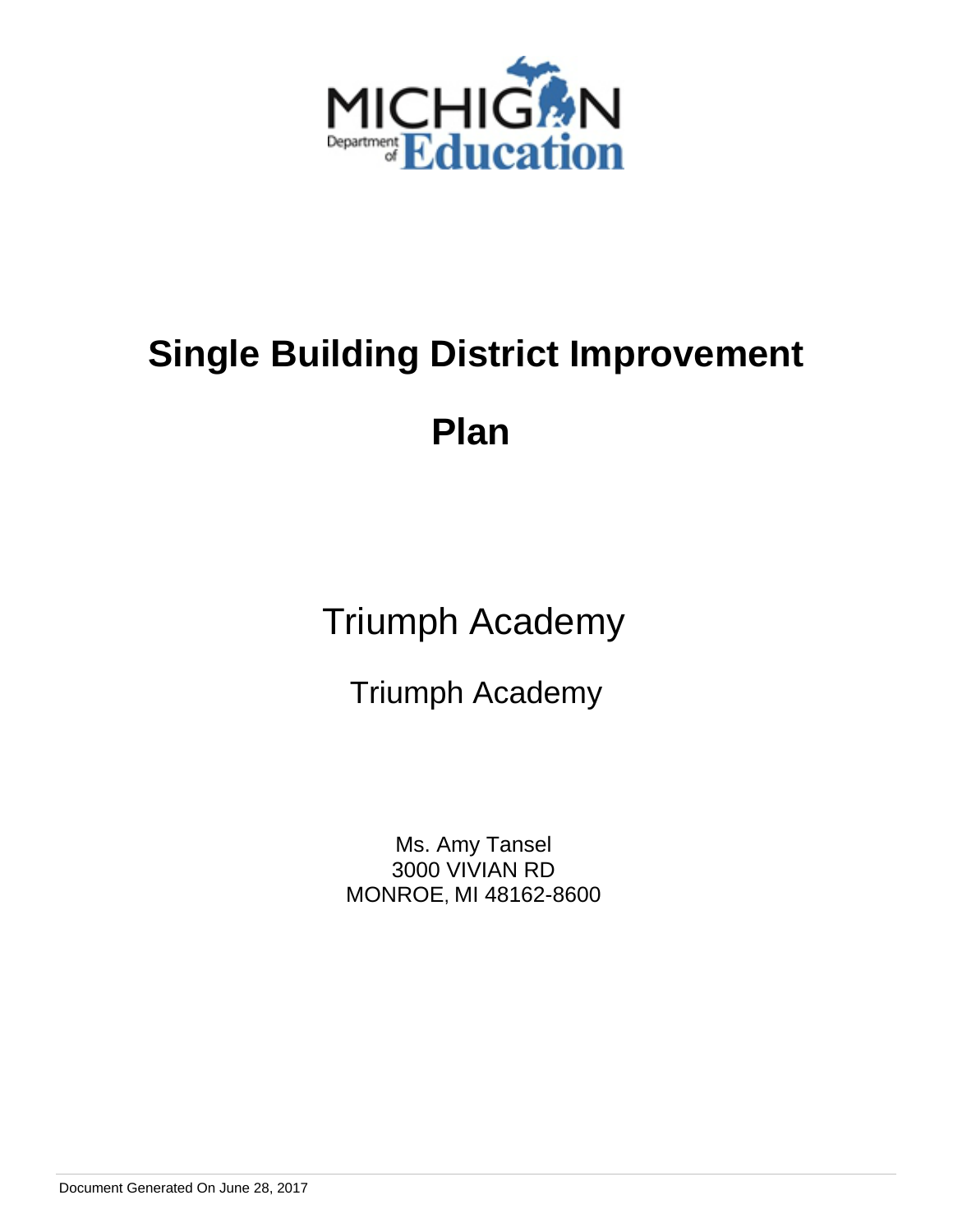

**Plan** 

Triumph Academy

Triumph Academy

Ms. Amy Tansel 3000 VIVIAN RD MONROE, MI 48162-8600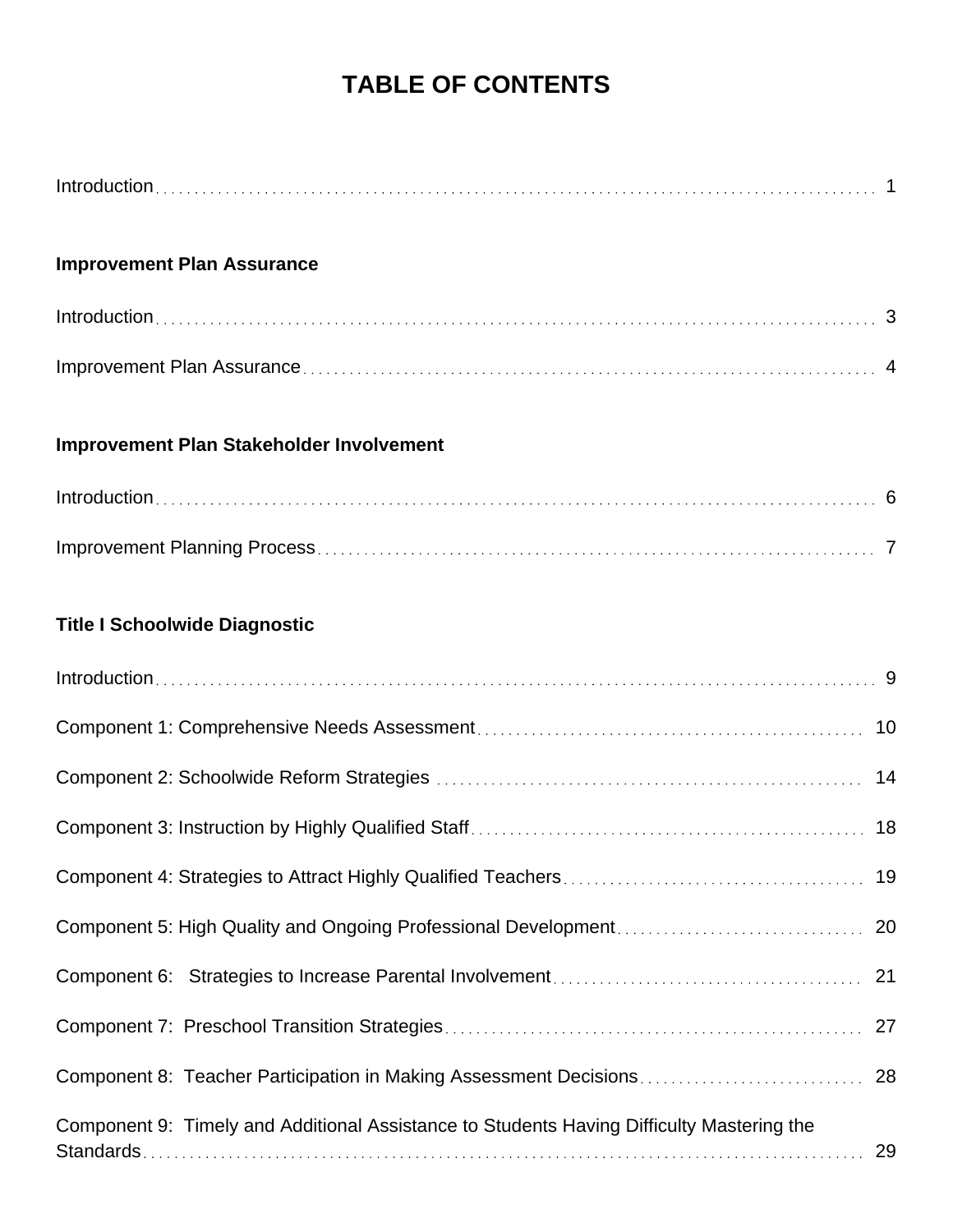## **TABLE OF CONTENTS**

| <b>Improvement Plan Assurance</b>                                                               |
|-------------------------------------------------------------------------------------------------|
|                                                                                                 |
|                                                                                                 |
| Improvement Plan Stakeholder Involvement                                                        |
|                                                                                                 |
|                                                                                                 |
| <b>Title I Schoolwide Diagnostic</b>                                                            |
|                                                                                                 |
|                                                                                                 |
|                                                                                                 |
| 18                                                                                              |
|                                                                                                 |
| 20                                                                                              |
|                                                                                                 |
|                                                                                                 |
| 28                                                                                              |
| Component 9: Timely and Additional Assistance to Students Having Difficulty Mastering the<br>29 |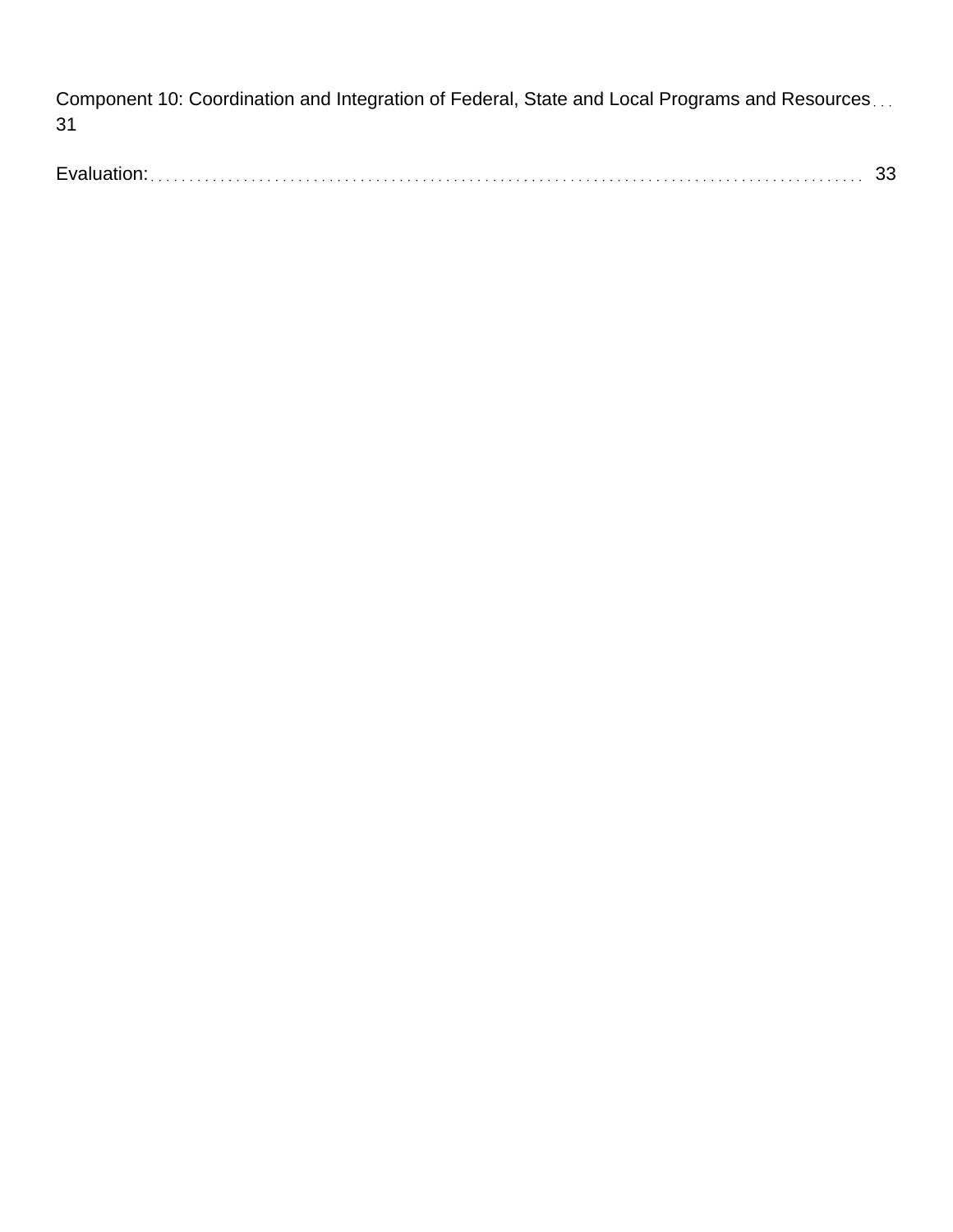Component 10: Coordination and Integration of Federal, State and Local Programs and Resources... 31

Evaluation: 33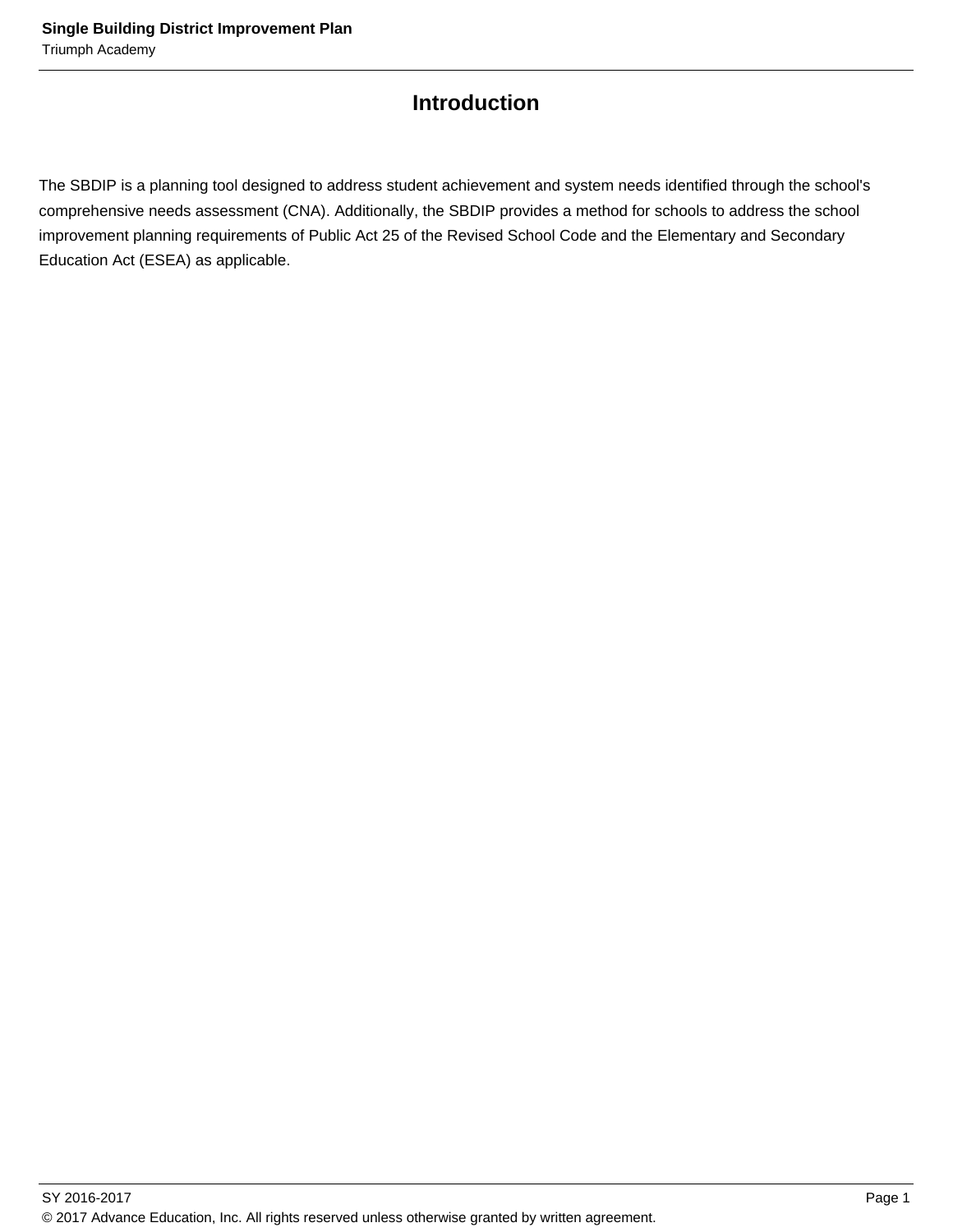## **Introduction**

The SBDIP is a planning tool designed to address student achievement and system needs identified through the school's comprehensive needs assessment (CNA). Additionally, the SBDIP provides a method for schools to address the school improvement planning requirements of Public Act 25 of the Revised School Code and the Elementary and Secondary Education Act (ESEA) as applicable.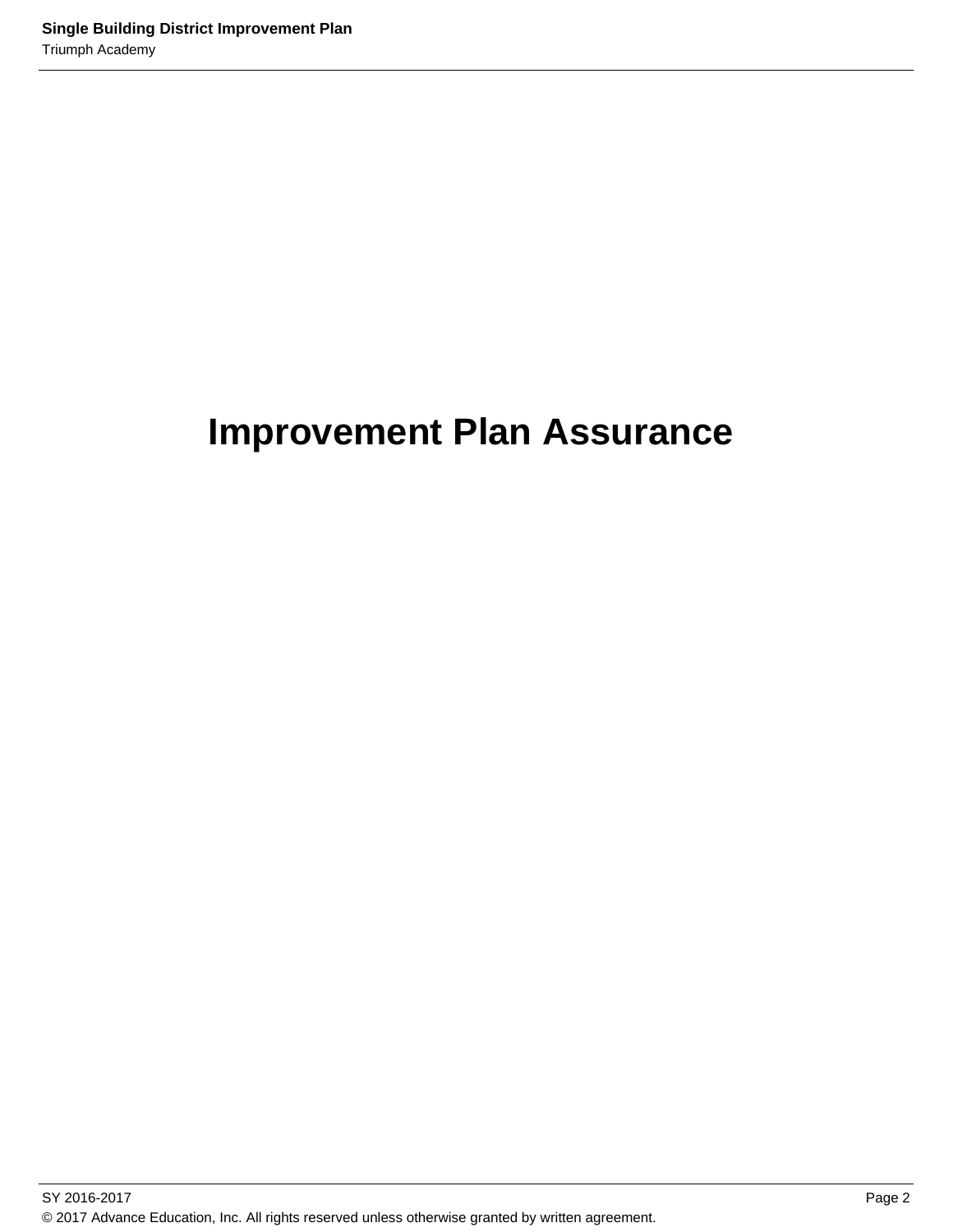## **Improvement Plan Assurance**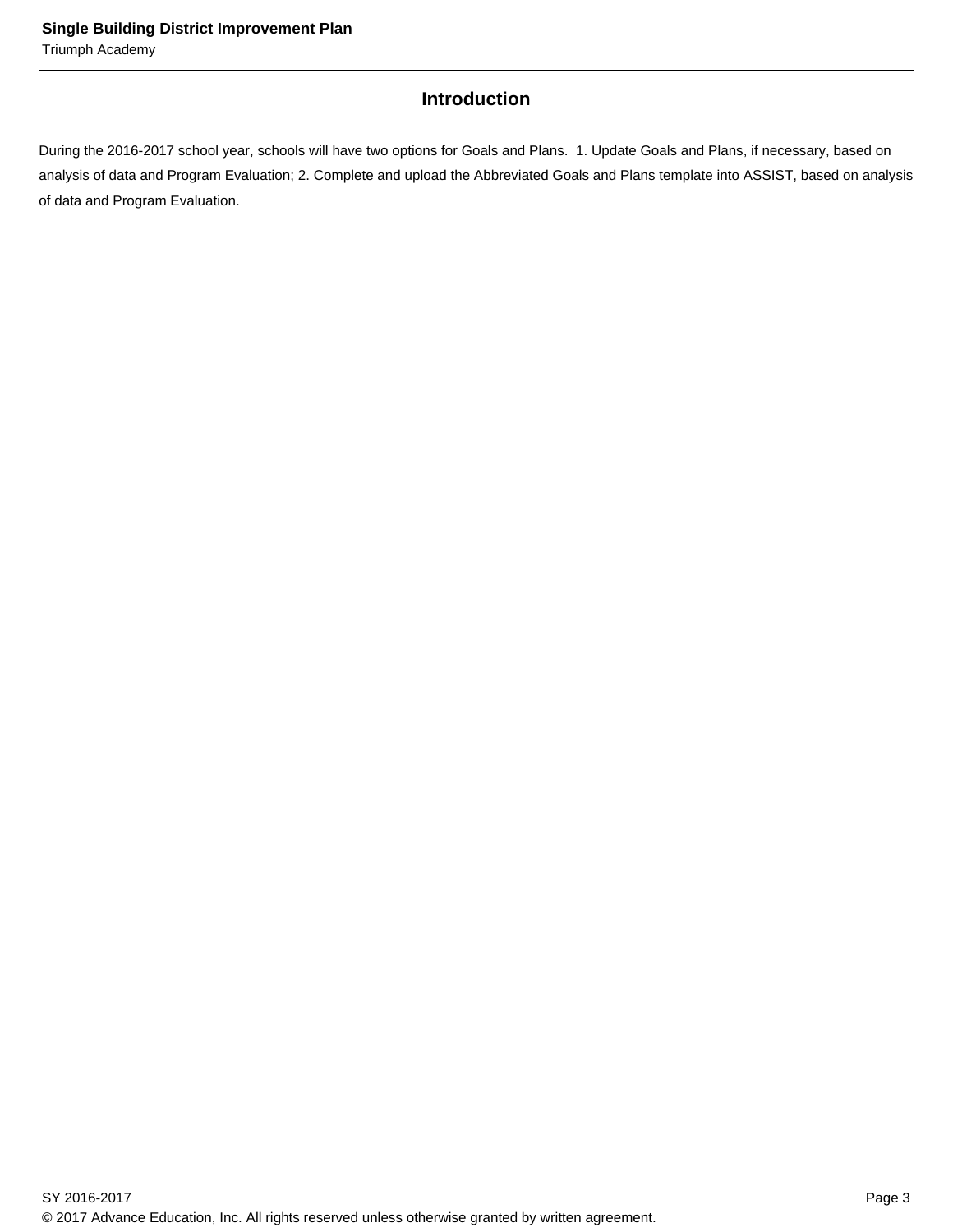## **Introduction**

During the 2016-2017 school year, schools will have two options for Goals and Plans. 1. Update Goals and Plans, if necessary, based on analysis of data and Program Evaluation; 2. Complete and upload the Abbreviated Goals and Plans template into ASSIST, based on analysis of data and Program Evaluation.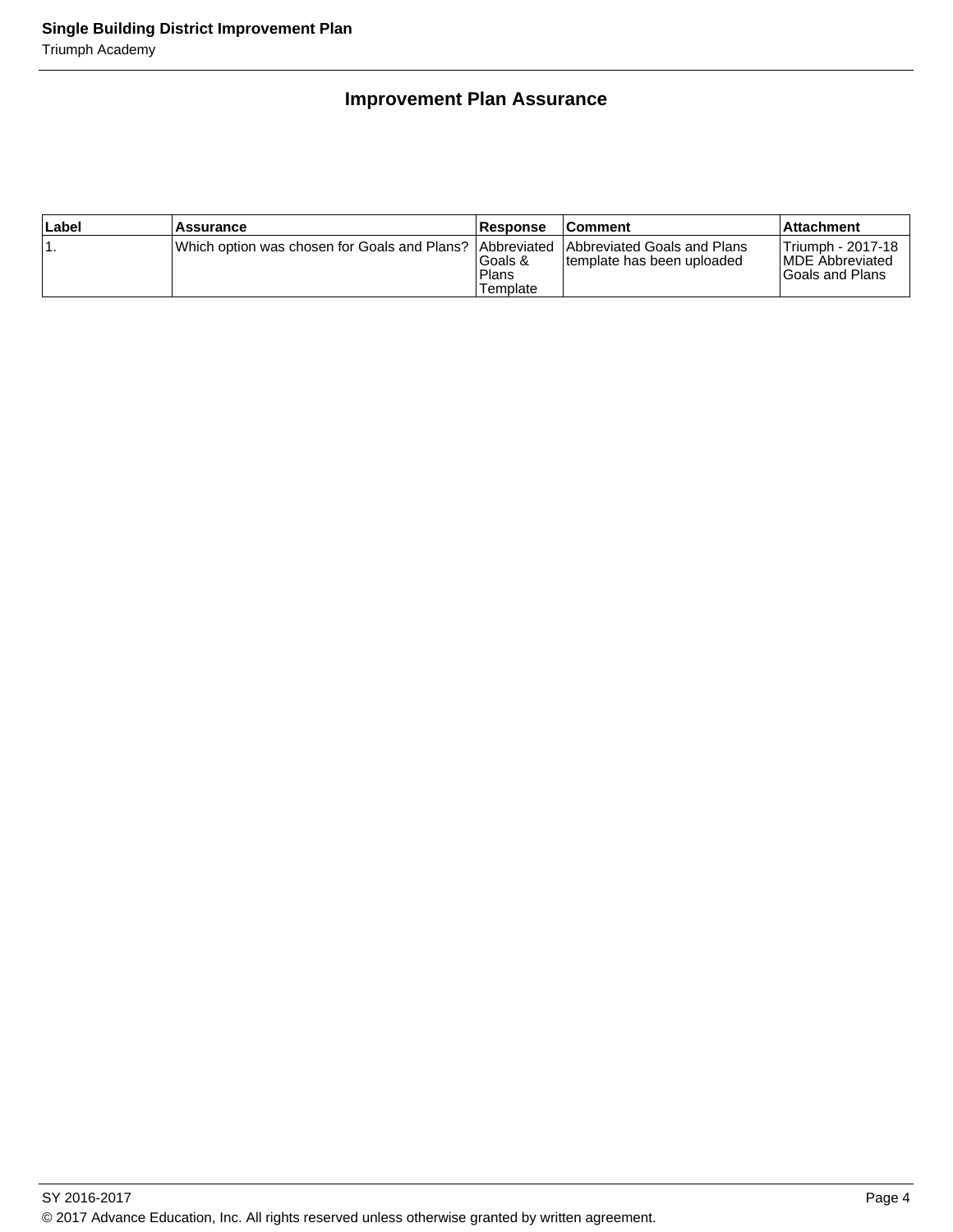## **Improvement Plan Assurance**

| Label | Assurance                                                                              | <b>Response</b>                      | <b>Comment</b>             | ∣Attachment                                                     |
|-------|----------------------------------------------------------------------------------------|--------------------------------------|----------------------------|-----------------------------------------------------------------|
|       | Which option was chosen for Goals and Plans?  Abbreviated  Abbreviated Goals and Plans | lGoals &<br><b>Plans</b><br>Template | template has been uploaded | Triumph - 2017-18<br><b>IMDE Abbreviated</b><br>Goals and Plans |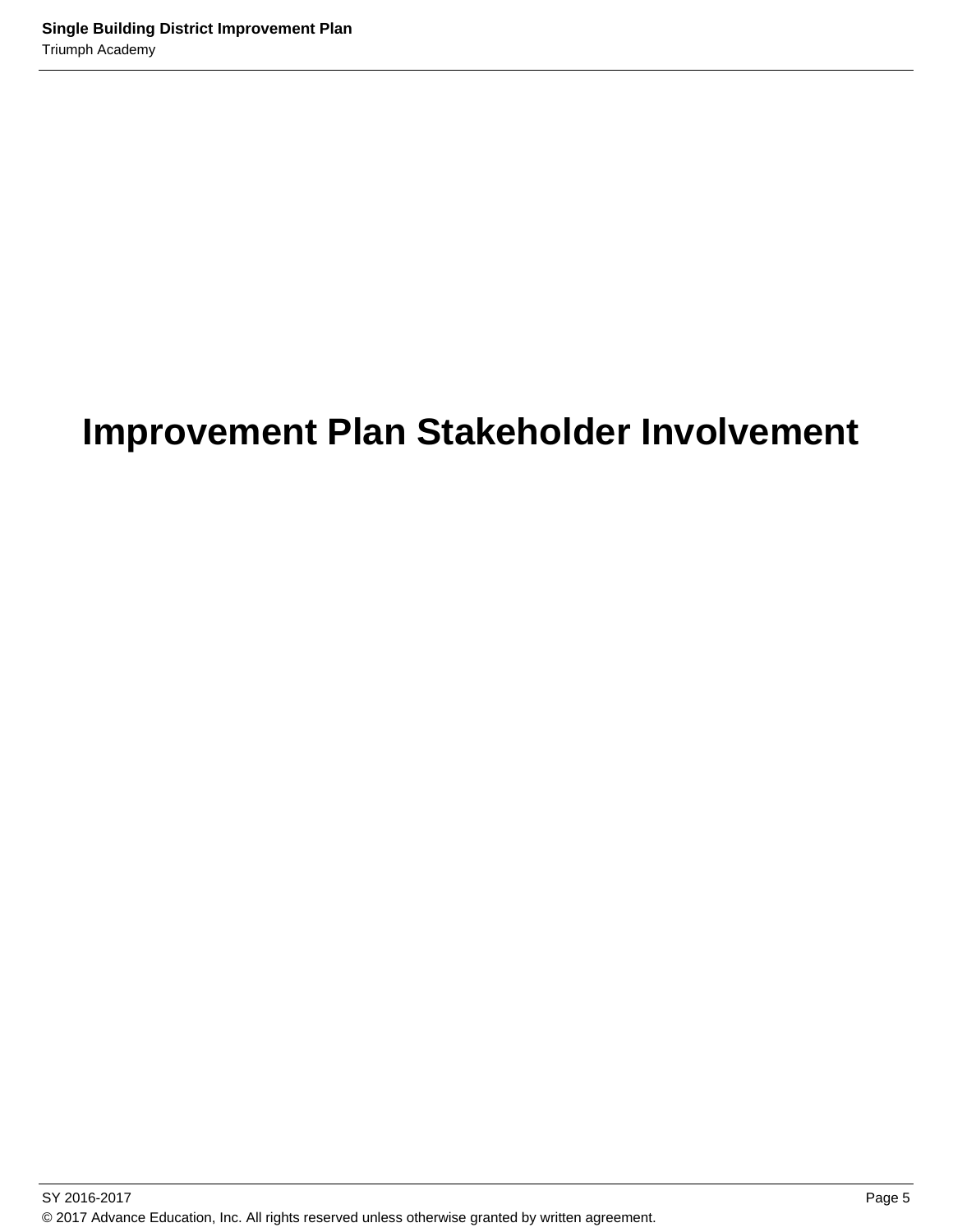## **Improvement Plan Stakeholder Involvement**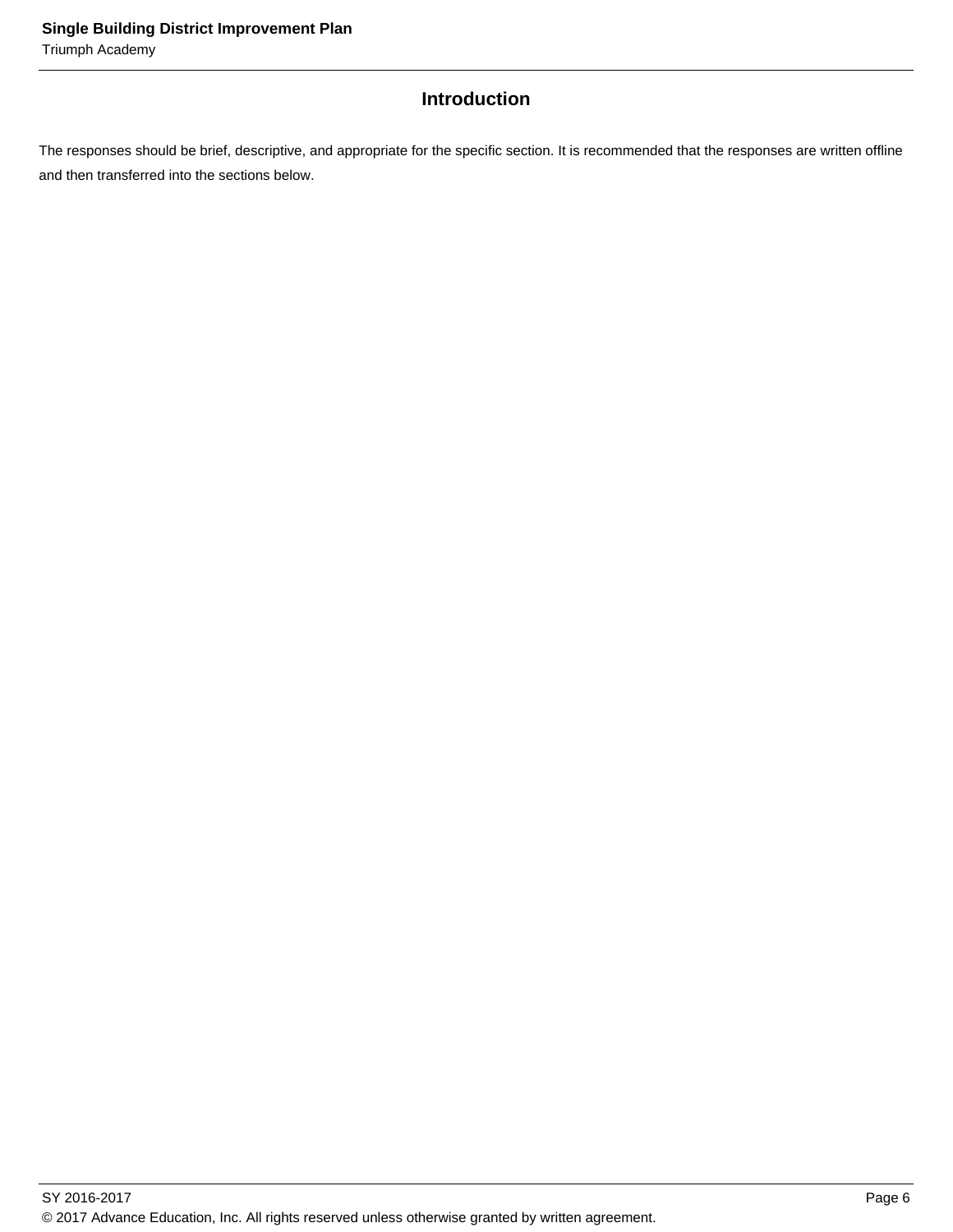## **Introduction**

The responses should be brief, descriptive, and appropriate for the specific section. It is recommended that the responses are written offline and then transferred into the sections below.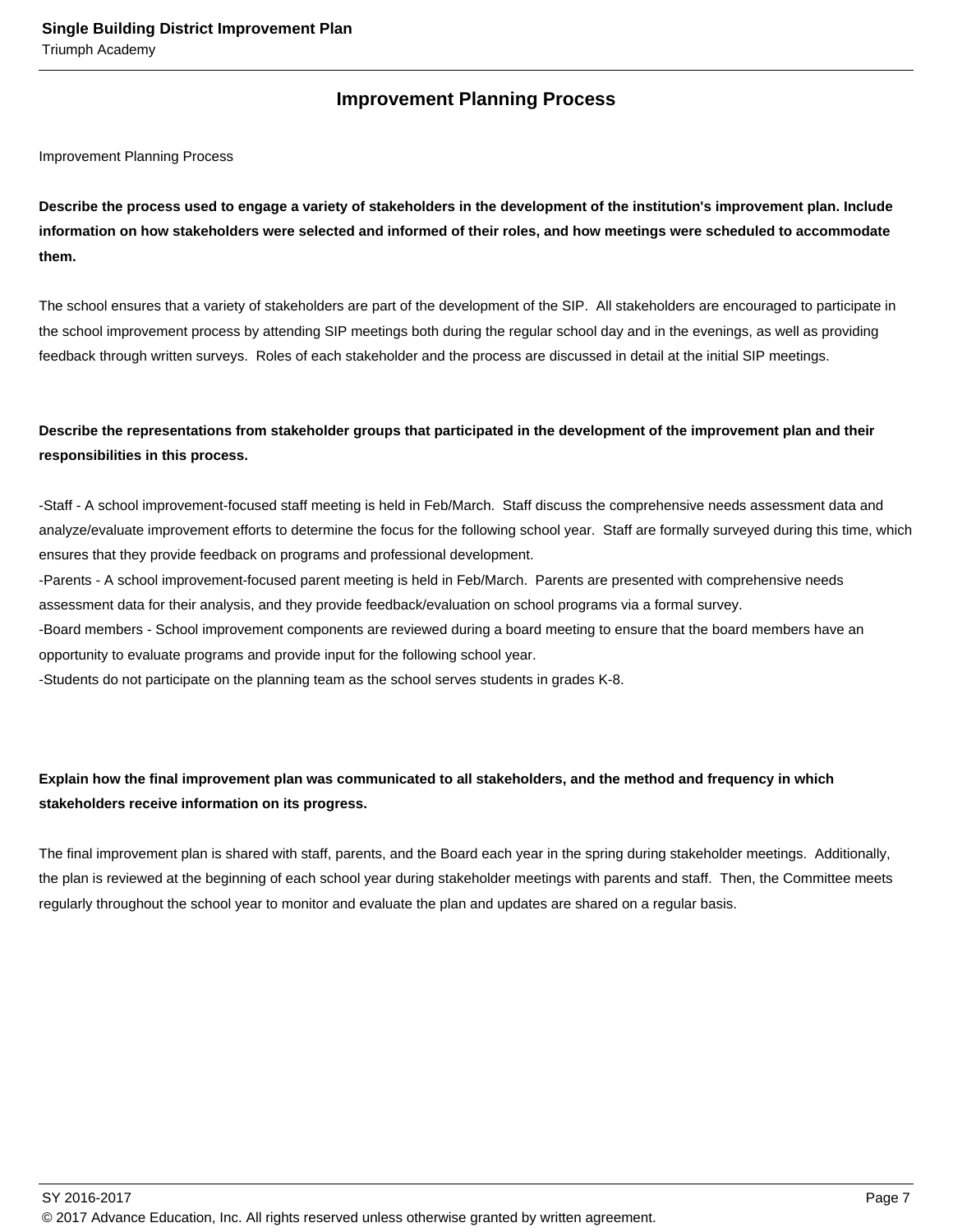## **Improvement Planning Process**

Improvement Planning Process

**Describe the process used to engage a variety of stakeholders in the development of the institution's improvement plan. Include information on how stakeholders were selected and informed of their roles, and how meetings were scheduled to accommodate them.** 

The school ensures that a variety of stakeholders are part of the development of the SIP. All stakeholders are encouraged to participate in the school improvement process by attending SIP meetings both during the regular school day and in the evenings, as well as providing feedback through written surveys. Roles of each stakeholder and the process are discussed in detail at the initial SIP meetings.

## **Describe the representations from stakeholder groups that participated in the development of the improvement plan and their responsibilities in this process.**

- Staff - A school improvement-focused staff meeting is held in Feb/March. Staff discuss the comprehensive needs assessment data and analyze/evaluate improvement efforts to determine the focus for the following school year. Staff are formally surveyed during this time, which ensures that they provide feedback on programs and professional development.

- Parents - A school improvement-focused parent meeting is held in Feb/March. Parents are presented with comprehensive needs assessment data for their analysis, and they provide feedback/evaluation on school programs via a formal survey.

- Board members - School improvement components are reviewed during a board meeting to ensure that the board members have an opportunity to evaluate programs and provide input for the following school year.

- Students do not participate on the planning team as the school serves students in grades K-8.

## **Explain how the final improvement plan was communicated to all stakeholders, and the method and frequency in which stakeholders receive information on its progress.**

The final improvement plan is shared with staff, parents, and the Board each year in the spring during stakeholder meetings. Additionally, the plan is reviewed at the beginning of each school year during stakeholder meetings with parents and staff. Then, the Committee meets regularly throughout the school year to monitor and evaluate the plan and updates are shared on a regular basis.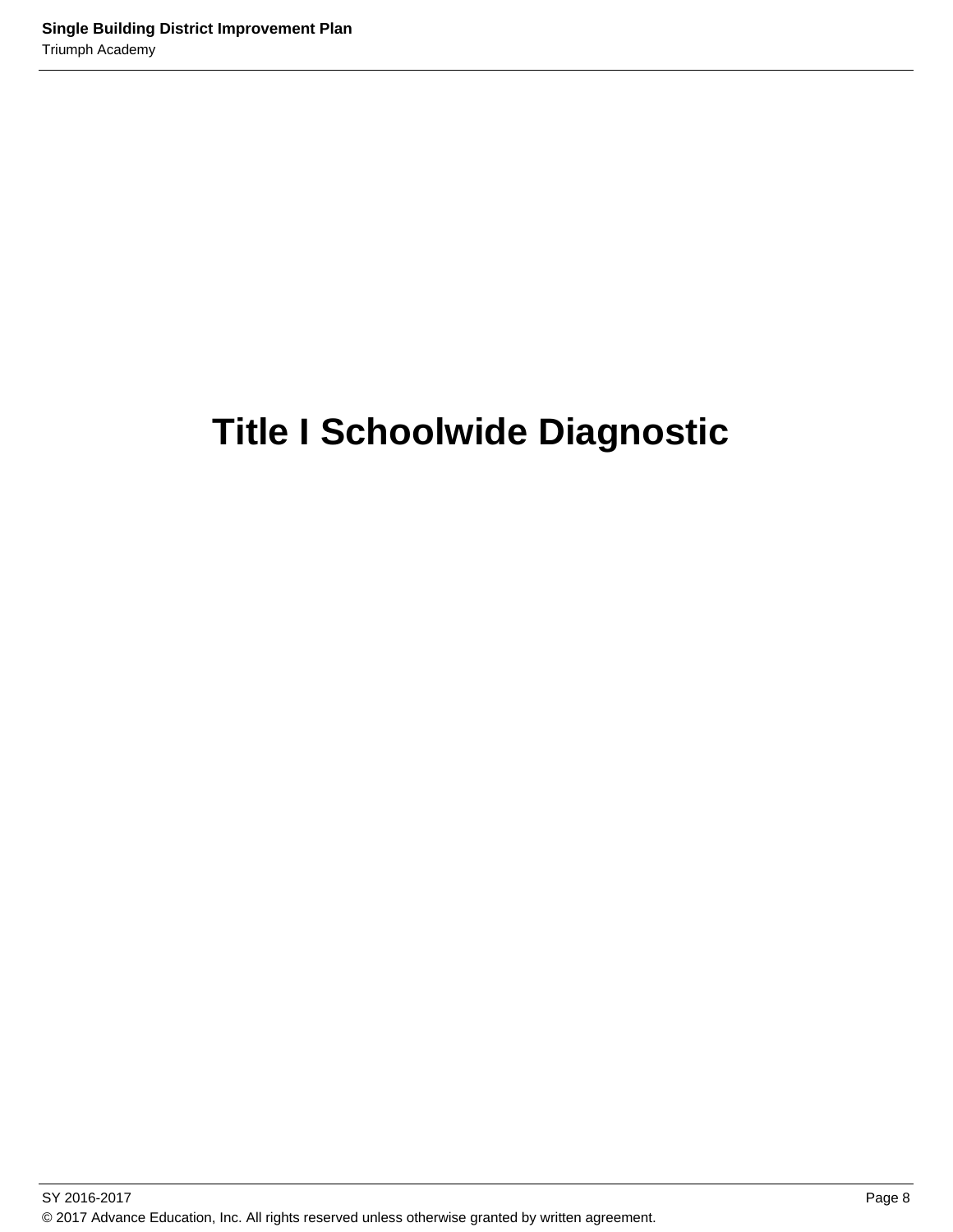## **Title I Schoolwide Diagnostic**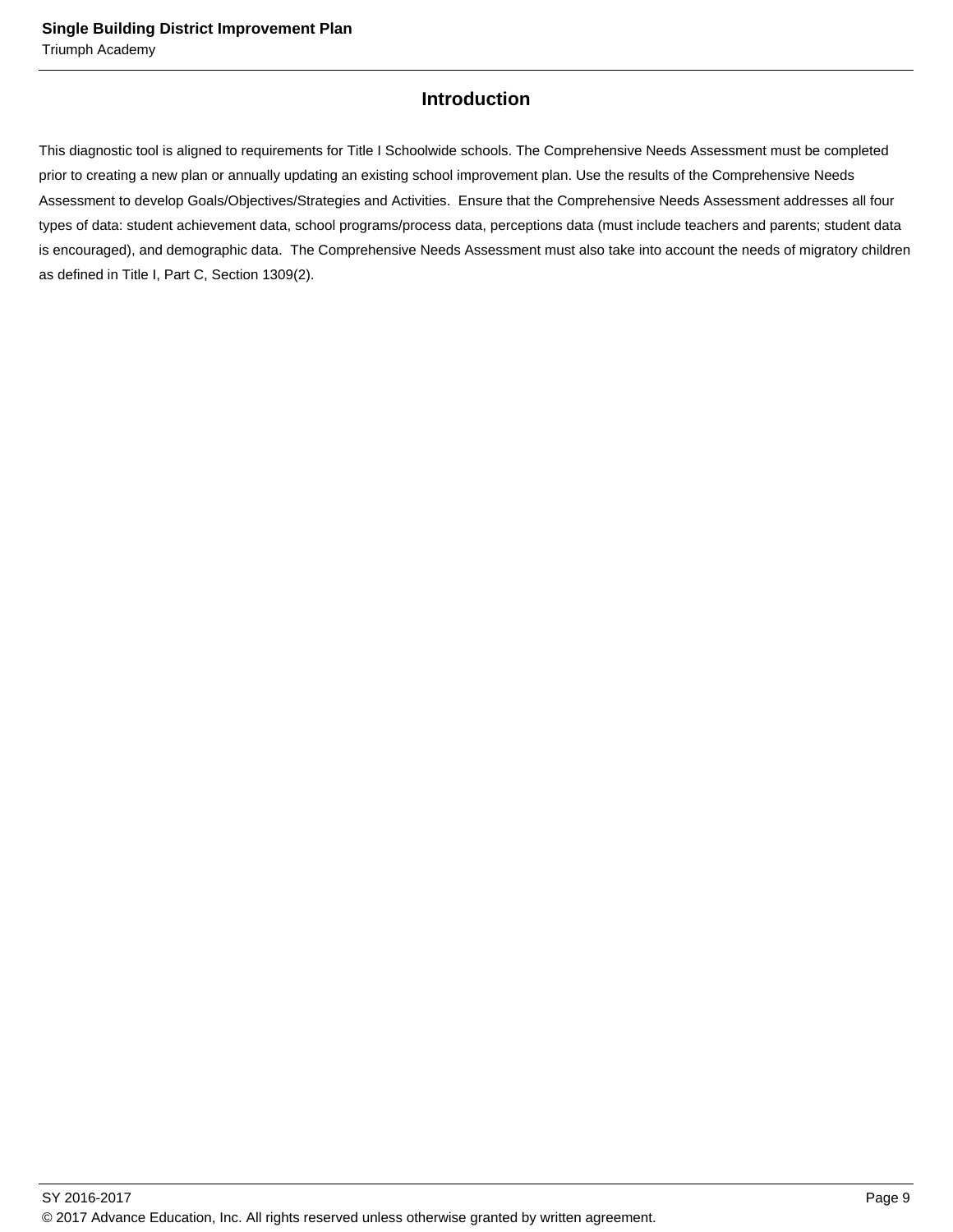## **Introduction**

This diagnostic tool is aligned to requirements for Title I Schoolwide schools. The Comprehensive Needs Assessment must be completed prior to creating a new plan or annually updating an existing school improvement plan. Use the results of the Comprehensive Needs Assessment to develop Goals/Objectives/Strategies and Activities. Ensure that the Comprehensive Needs Assessment addresses all four types of data: student achievement data, school programs/process data, perceptions data (must include teachers and parents; student data is encouraged), and demographic data. The Comprehensive Needs Assessment must also take into account the needs of migratory children as defined in Title I, Part C, Section 1309(2).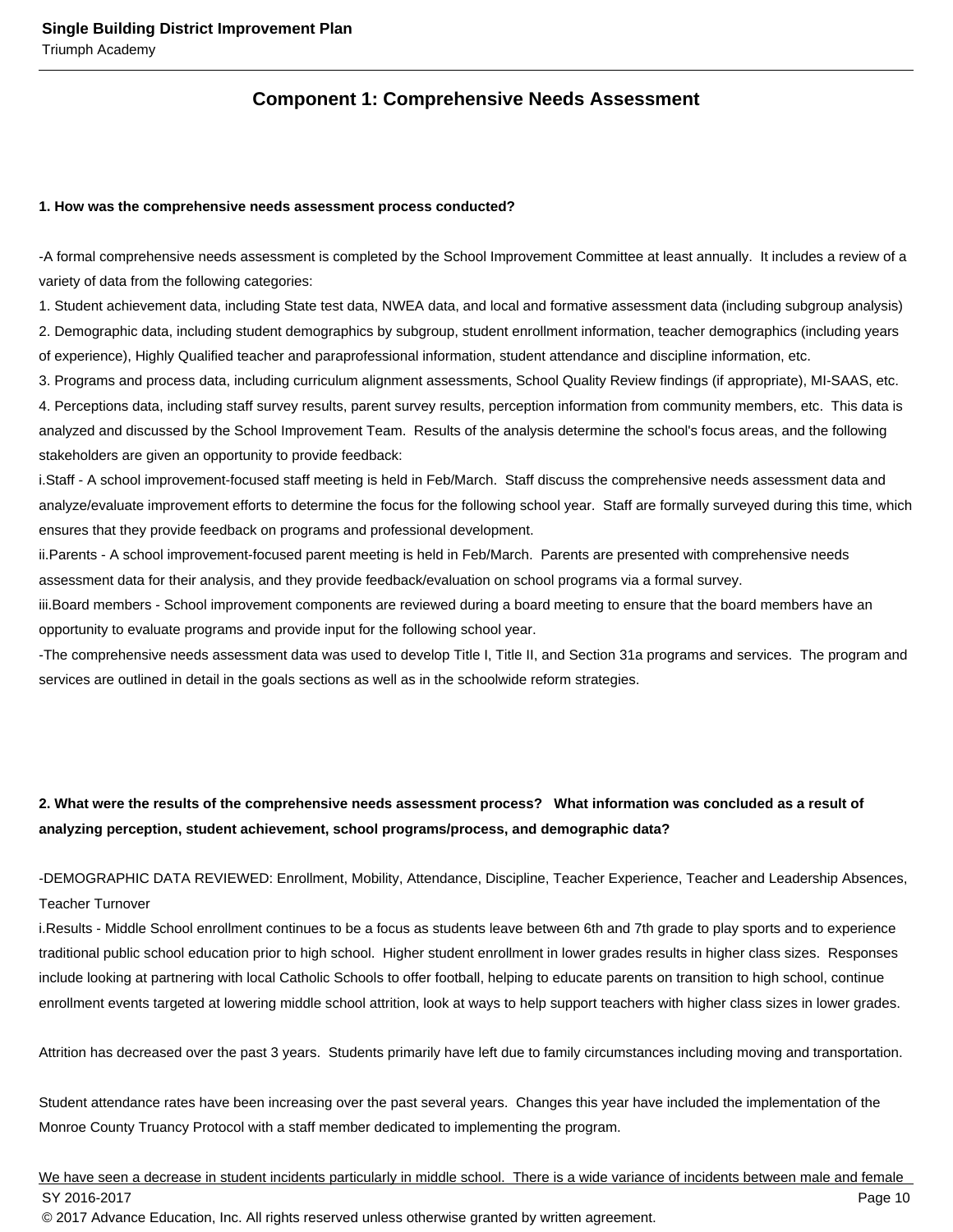## **Component 1: Comprehensive Needs Assessment**

#### **1. How was the comprehensive needs assessment process conducted?**

- A formal comprehensive needs assessment is completed by the School Improvement Committee at least annually. It includes a review of a variety of data from the following categories:

1. Student achievement data, including State test data, NWEA data, and local and formative assessment data (including subgroup analysis) 2. Demographic data, including student demographics by subgroup, student enrollment information, teacher demographics (including years of experience), Highly Qualified teacher and paraprofessional information, student attendance and discipline information, etc.

3. Programs and process data, including curriculum alignment assessments, School Quality Review findings (if appropriate), MI-SAAS, etc. 4. Perceptions data, including staff survey results, parent survey results, perception information from community members, etc. This data is analyzed and discussed by the School Improvement Team. Results of the analysis determine the school's focus areas, and the following stakeholders are given an opportunity to provide feedback:

i. Staff - A school improvement-focused staff meeting is held in Feb/March. Staff discuss the comprehensive needs assessment data and analyze/evaluate improvement efforts to determine the focus for the following school year. Staff are formally surveyed during this time, which ensures that they provide feedback on programs and professional development.

ii. Parents - A school improvement-focused parent meeting is held in Feb/March. Parents are presented with comprehensive needs assessment data for their analysis, and they provide feedback/evaluation on school programs via a formal survey.

iii. Board members - School improvement components are reviewed during a board meeting to ensure that the board members have an opportunity to evaluate programs and provide input for the following school year.

- The comprehensive needs assessment data was used to develop Title I, Title II, and Section 31a programs and services. The program and services are outlined in detail in the goals sections as well as in the schoolwide reform strategies.

## **2. What were the results of the comprehensive needs assessment process? What information was concluded as a result of analyzing perception, student achievement, school programs/process, and demographic data?**

- DEMOGRAPHIC DATA REVIEWED: Enrollment, Mobility, Attendance, Discipline, Teacher Experience, Teacher and Leadership Absences, Teacher Turnover

i. Results - Middle School enrollment continues to be a focus as students leave between 6th and 7th grade to play sports and to experience traditional public school education prior to high school. Higher student enrollment in lower grades results in higher class sizes. Responses include looking at partnering with local Catholic Schools to offer football, helping to educate parents on transition to high school, continue enrollment events targeted at lowering middle school attrition, look at ways to help support teachers with higher class sizes in lower grades.

Attrition has decreased over the past 3 years. Students primarily have left due to family circumstances including moving and transportation.

Student attendance rates have been increasing over the past several years. Changes this year have included the implementation of the Monroe County Truancy Protocol with a staff member dedicated to implementing the program.

We have seen a decrease in student incidents particularly in middle school. There is a wide variance of incidents between male and female SY 2016-2017 Page 10 © 2017 Advance Education, Inc. All rights reserved unless otherwise granted by written agreement.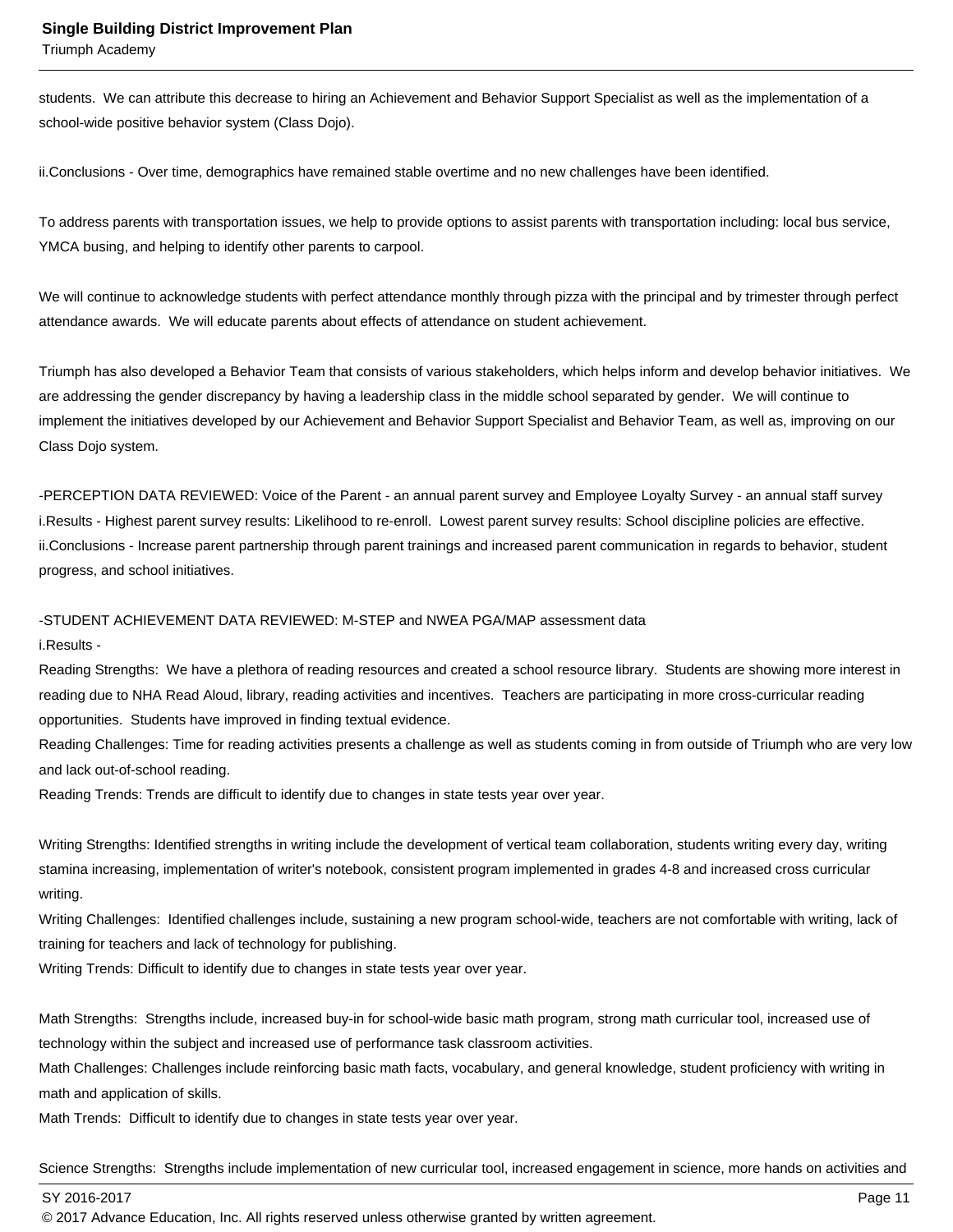Triumph Academy

students. We can attribute this decrease to hiring an Achievement and Behavior Support Specialist as well as the implementation of a school-wide positive behavior system (Class Dojo).

ii. Conclusions - Over time, demographics have remained stable overtime and no new challenges have been identified.

To address parents with transportation issues, we help to provide options to assist parents with transportation including: local bus service, YMCA busing, and helping to identify other parents to carpool.

We will continue to acknowledge students with perfect attendance monthly through pizza with the principal and by trimester through perfect attendance awards. We will educate parents about effects of attendance on student achievement.

Triumph has also developed a Behavior Team that consists of various stakeholders, which helps inform and develop behavior initiatives. We are addressing the gender discrepancy by having a leadership class in the middle school separated by gender. We will continue to implement the initiatives developed by our Achievement and Behavior Support Specialist and Behavior Team, as well as, improving on our Class Dojo system.

- PERCEPTION DATA REVIEWED: Voice of the Parent - an annual parent survey and Employee Loyalty Survey - an annual staff survey i. Results - Highest parent survey results: Likelihood to re-enroll. Lowest parent survey results: School discipline policies are effective. ii. Conclusions - Increase parent partnership through parent trainings and increased parent communication in regards to behavior, student progress, and school initiatives.

- STUDENT ACHIEVEMENT DATA REVIEWED: M-STEP and NWEA PGA/MAP assessment data

i. Results -

Reading Strengths: We have a plethora of reading resources and created a school resource library. Students are showing more interest in reading due to NHA Read Aloud, library, reading activities and incentives. Teachers are participating in more cross-curricular reading opportunities. Students have improved in finding textual evidence.

Reading Challenges: Time for reading activities presents a challenge as well as students coming in from outside of Triumph who are very low and lack out-of-school reading.

Reading Trends: Trends are difficult to identify due to changes in state tests year over year.

Writing Strengths: Identified strengths in writing include the development of vertical team collaboration, students writing every day, writing stamina increasing, implementation of writer's notebook, consistent program implemented in grades 4-8 and increased cross curricular writing.

Writing Challenges: Identified challenges include, sustaining a new program school-wide, teachers are not comfortable with writing, lack of training for teachers and lack of technology for publishing.

Writing Trends: Difficult to identify due to changes in state tests year over year.

Math Strengths: Strengths include, increased buy-in for school-wide basic math program, strong math curricular tool, increased use of technology within the subject and increased use of performance task classroom activities.

Math Challenges: Challenges include reinforcing basic math facts, vocabulary, and general knowledge, student proficiency with writing in math and application of skills.

Math Trends: Difficult to identify due to changes in state tests year over year.

Science Strengths: Strengths include implementation of new curricular tool, increased engagement in science, more hands on activities and

SY 2016-2017 Page 11

© 2017 Advance Education, Inc. All rights reserved unless otherwise granted by written agreement.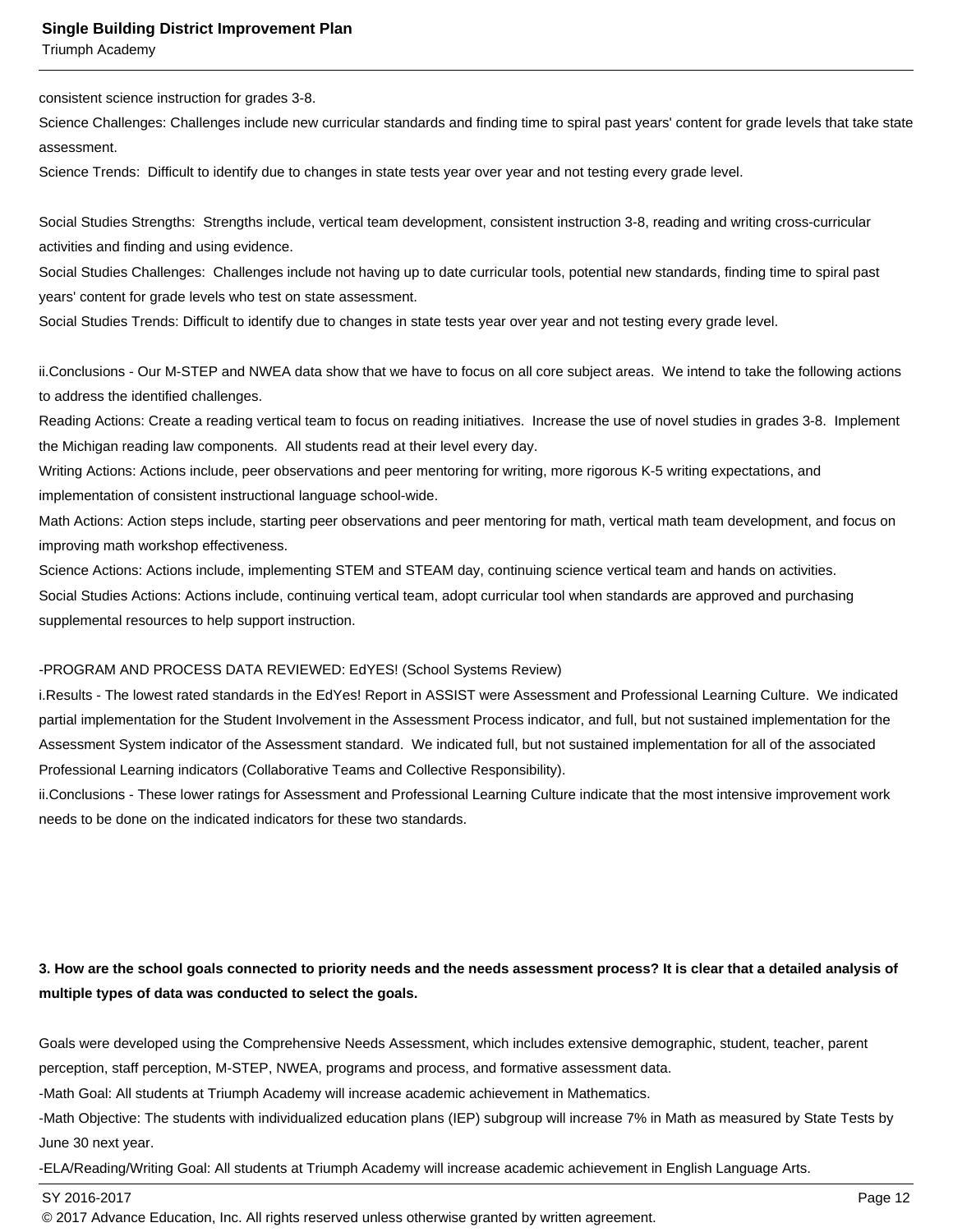Triumph Academy

consistent science instruction for grades 3-8.

Science Challenges: Challenges include new curricular standards and finding time to spiral past years' content for grade levels that take state assessment.

Science Trends: Difficult to identify due to changes in state tests year over year and not testing every grade level.

Social Studies Strengths: Strengths include, vertical team development, consistent instruction 3-8, reading and writing cross-curricular activities and finding and using evidence.

Social Studies Challenges: Challenges include not having up to date curricular tools, potential new standards, finding time to spiral past years' content for grade levels who test on state assessment.

Social Studies Trends: Difficult to identify due to changes in state tests year over year and not testing every grade level.

ii. Conclusions - Our M-STEP and NWEA data show that we have to focus on all core subject areas. We intend to take the following actions to address the identified challenges.

Reading Actions: Create a reading vertical team to focus on reading initiatives. Increase the use of novel studies in grades 3-8. Implement the Michigan reading law components. All students read at their level every day.

Writing Actions: Actions include, peer observations and peer mentoring for writing, more rigorous K-5 writing expectations, and implementation of consistent instructional language school-wide.

Math Actions: Action steps include, starting peer observations and peer mentoring for math, vertical math team development, and focus on improving math workshop effectiveness.

Science Actions: Actions include, implementing STEM and STEAM day, continuing science vertical team and hands on activities. Social Studies Actions: Actions include, continuing vertical team, adopt curricular tool when standards are approved and purchasing supplemental resources to help support instruction.

#### - PROGRAM AND PROCESS DATA REVIEWED: EdYES! (School Systems Review)

i. Results - The lowest rated standards in the EdYes! Report in ASSIST were Assessment and Professional Learning Culture. We indicated partial implementation for the Student Involvement in the Assessment Process indicator, and full, but not sustained implementation for the Assessment System indicator of the Assessment standard. We indicated full, but not sustained implementation for all of the associated Professional Learning indicators (Collaborative Teams and Collective Responsibility).

ii. Conclusions - These lower ratings for Assessment and Professional Learning Culture indicate that the most intensive improvement work needs to be done on the indicated indicators for these two standards.

## **3. How are the school goals connected to priority needs and the needs assessment process? It is clear that a detailed analysis of multiple types of data was conducted to select the goals.**

Goals were developed using the Comprehensive Needs Assessment, which includes extensive demographic, student, teacher, parent perception, staff perception, M-STEP, NWEA, programs and process, and formative assessment data.

- Math Goal: All students at Triumph Academy will increase academic achievement in Mathematics.

- Math Objective: The students with individualized education plans (IEP) subgroup will increase 7% in Math as measured by State Tests by June 30 next year.

- ELA/Reading/Writing Goal: All students at Triumph Academy will increase academic achievement in English Language Arts.

SY 2016-2017 Page 12

© 2017 Advance Education, Inc. All rights reserved unless otherwise granted by written agreement.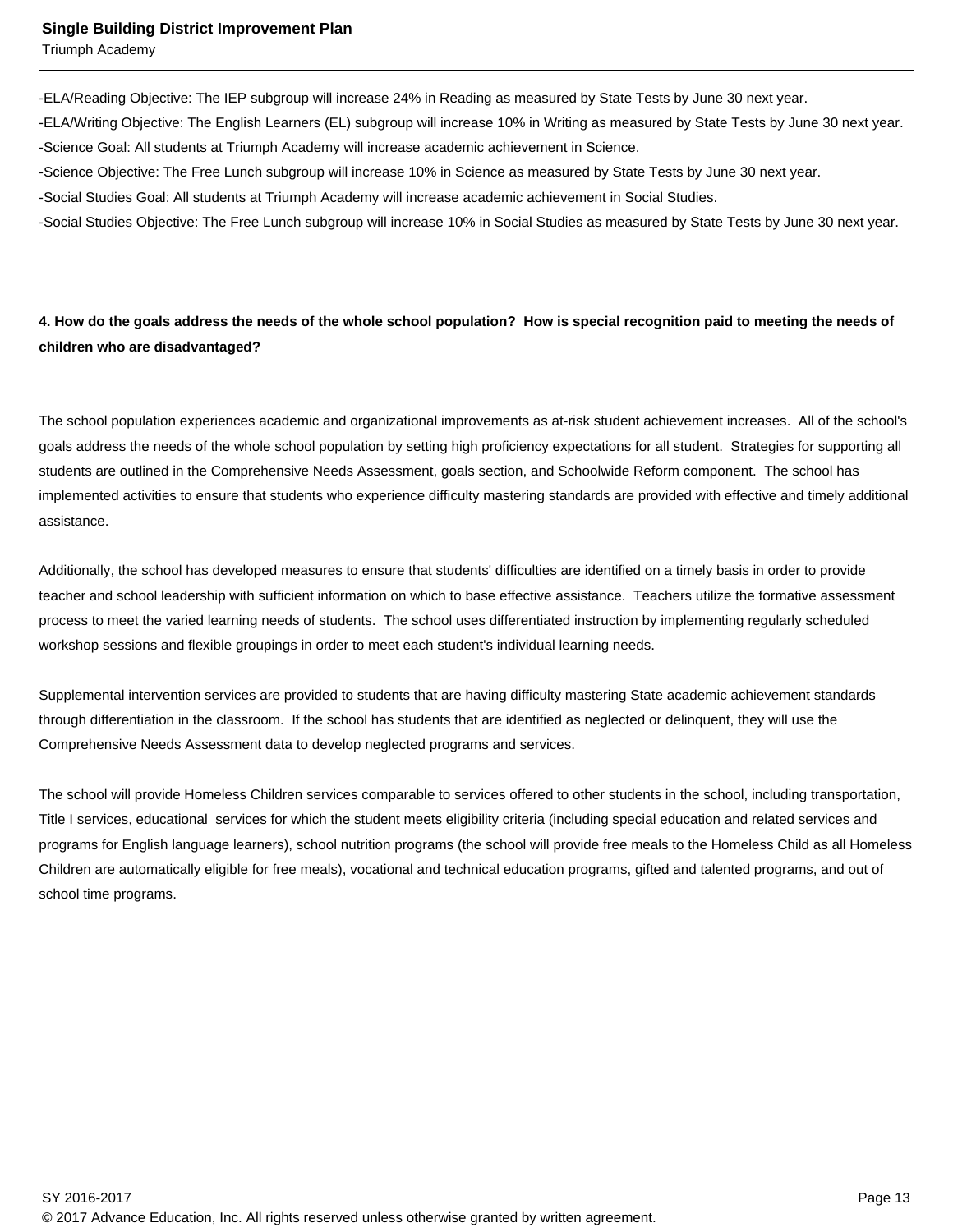Triumph Academy

- ELA/Reading Objective: The IEP subgroup will increase 24% in Reading as measured by State Tests by June 30 next year.
- ELA/Writing Objective: The English Learners (EL) subgroup will increase 10% in Writing as measured by State Tests by June 30 next year.
- Science Goal: All students at Triumph Academy will increase academic achievement in Science.
- Science Objective: The Free Lunch subgroup will increase 10% in Science as measured by State Tests by June 30 next year.
- Social Studies Goal: All students at Triumph Academy will increase academic achievement in Social Studies.
- Social Studies Objective: The Free Lunch subgroup will increase 10% in Social Studies as measured by State Tests by June 30 next year.

## **4. How do the goals address the needs of the whole school population? How is special recognition paid to meeting the needs of children who are disadvantaged?**

The school population experiences academic and organizational improvements as at-risk student achievement increases. All of the school's goals address the needs of the whole school population by setting high proficiency expectations for all student. Strategies for supporting all students are outlined in the Comprehensive Needs Assessment, goals section, and Schoolwide Reform component. The school has implemented activities to ensure that students who experience difficulty mastering standards are provided with effective and timely additional assistance.

Additionally, the school has developed measures to ensure that students' difficulties are identified on a timely basis in order to provide teacher and school leadership with sufficient information on which to base effective assistance. Teachers utilize the formative assessment process to meet the varied learning needs of students. The school uses differentiated instruction by implementing regularly scheduled workshop sessions and flexible groupings in order to meet each student's individual learning needs.

Supplemental intervention services are provided to students that are having difficulty mastering State academic achievement standards through differentiation in the classroom. If the school has students that are identified as neglected or delinquent, they will use the Comprehensive Needs Assessment data to develop neglected programs and services.

The school will provide Homeless Children services comparable to services offered to other students in the school, including transportation, Title I services, educational services for which the student meets eligibility criteria (including special education and related services and programs for English language learners), school nutrition programs (the school will provide free meals to the Homeless Child as all Homeless Children are automatically eligible for free meals), vocational and technical education programs, gifted and talented programs, and out of school time programs.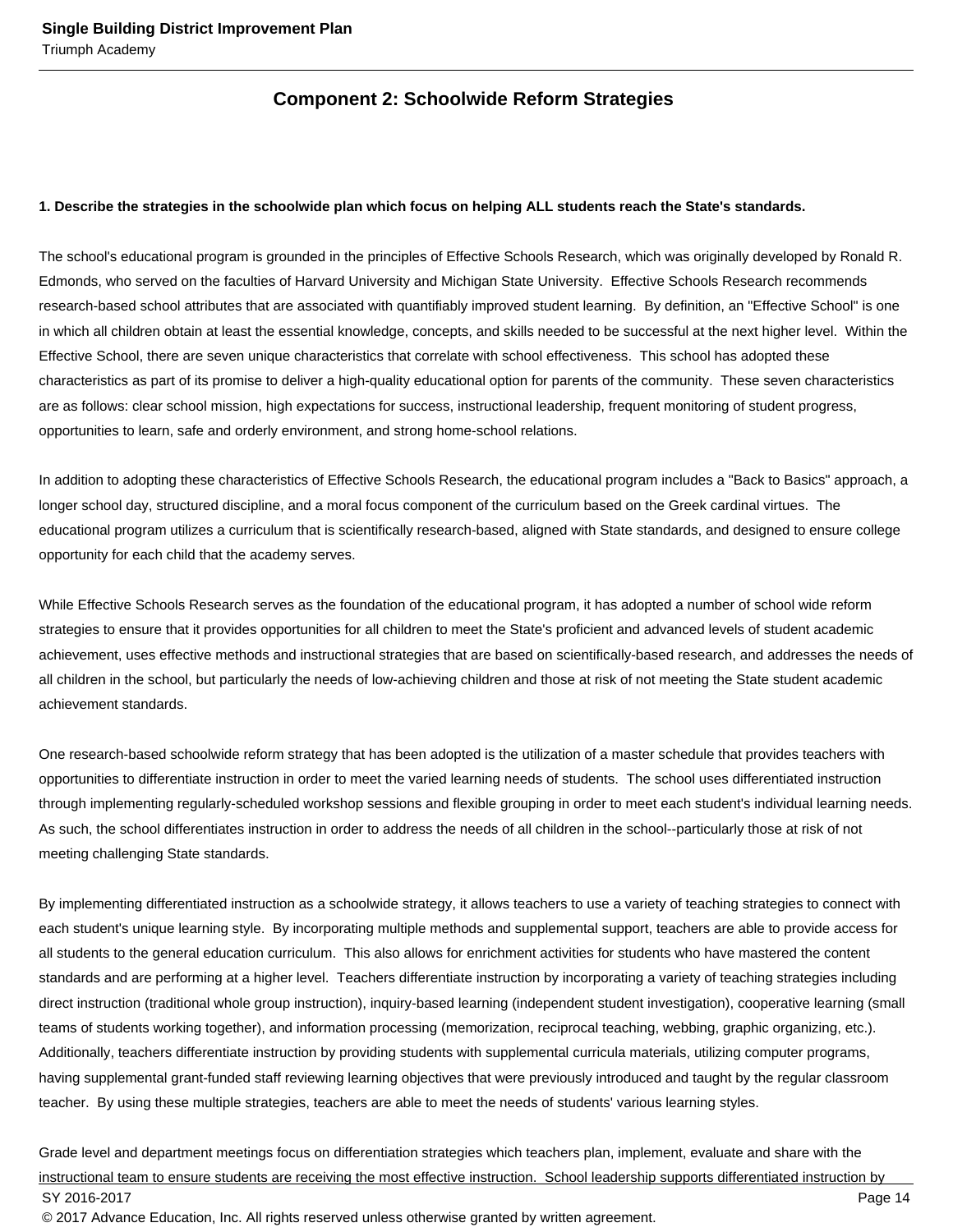## **Component 2: Schoolwide Reform Strategies**

#### **1. Describe the strategies in the schoolwide plan which focus on helping ALL students reach the State's standards.**

The school's educational program is grounded in the principles of Effective Schools Research, which was originally developed by Ronald R. Edmonds, who served on the faculties of Harvard University and Michigan State University. Effective Schools Research recommends research-based school attributes that are associated with quantifiably improved student learning. By definition, an "Effective School" is one in which all children obtain at least the essential knowledge, concepts, and skills needed to be successful at the next higher level. Within the Effective School, there are seven unique characteristics that correlate with school effectiveness. This school has adopted these characteristics as part of its promise to deliver a high-quality educational option for parents of the community. These seven characteristics are as follows: clear school mission, high expectations for success, instructional leadership, frequent monitoring of student progress, opportunities to learn, safe and orderly environment, and strong home-school relations.

In addition to adopting these characteristics of Effective Schools Research, the educational program includes a "Back to Basics" approach, a longer school day, structured discipline, and a moral focus component of the curriculum based on the Greek cardinal virtues. The educational program utilizes a curriculum that is scientifically research-based, aligned with State standards, and designed to ensure college opportunity for each child that the academy serves.

While Effective Schools Research serves as the foundation of the educational program, it has adopted a number of school wide reform strategies to ensure that it provides opportunities for all children to meet the State's proficient and advanced levels of student academic achievement, uses effective methods and instructional strategies that are based on scientifically-based research, and addresses the needs of all children in the school, but particularly the needs of low-achieving children and those at risk of not meeting the State student academic achievement standards.

One research-based schoolwide reform strategy that has been adopted is the utilization of a master schedule that provides teachers with opportunities to differentiate instruction in order to meet the varied learning needs of students. The school uses differentiated instruction through implementing regularly-scheduled workshop sessions and flexible grouping in order to meet each student's individual learning needs. As such, the school differentiates instruction in order to address the needs of all children in the school--particularly those at risk of not meeting challenging State standards.

By implementing differentiated instruction as a schoolwide strategy, it allows teachers to use a variety of teaching strategies to connect with each student's unique learning style. By incorporating multiple methods and supplemental support, teachers are able to provide access for all students to the general education curriculum. This also allows for enrichment activities for students who have mastered the content standards and are performing at a higher level. Teachers differentiate instruction by incorporating a variety of teaching strategies including direct instruction (traditional whole group instruction), inquiry-based learning (independent student investigation), cooperative learning (small teams of students working together), and information processing (memorization, reciprocal teaching, webbing, graphic organizing, etc.). Additionally, teachers differentiate instruction by providing students with supplemental curricula materials, utilizing computer programs, having supplemental grant-funded staff reviewing learning objectives that were previously introduced and taught by the regular classroom teacher. By using these multiple strategies, teachers are able to meet the needs of students' various learning styles.

Grade level and department meetings focus on differentiation strategies which teachers plan, implement, evaluate and share with the instructional team to ensure students are receiving the most effective instruction. School leadership supports differentiated instruction by SY 2016-2017 Page 14 © 2017 Advance Education, Inc. All rights reserved unless otherwise granted by written agreement.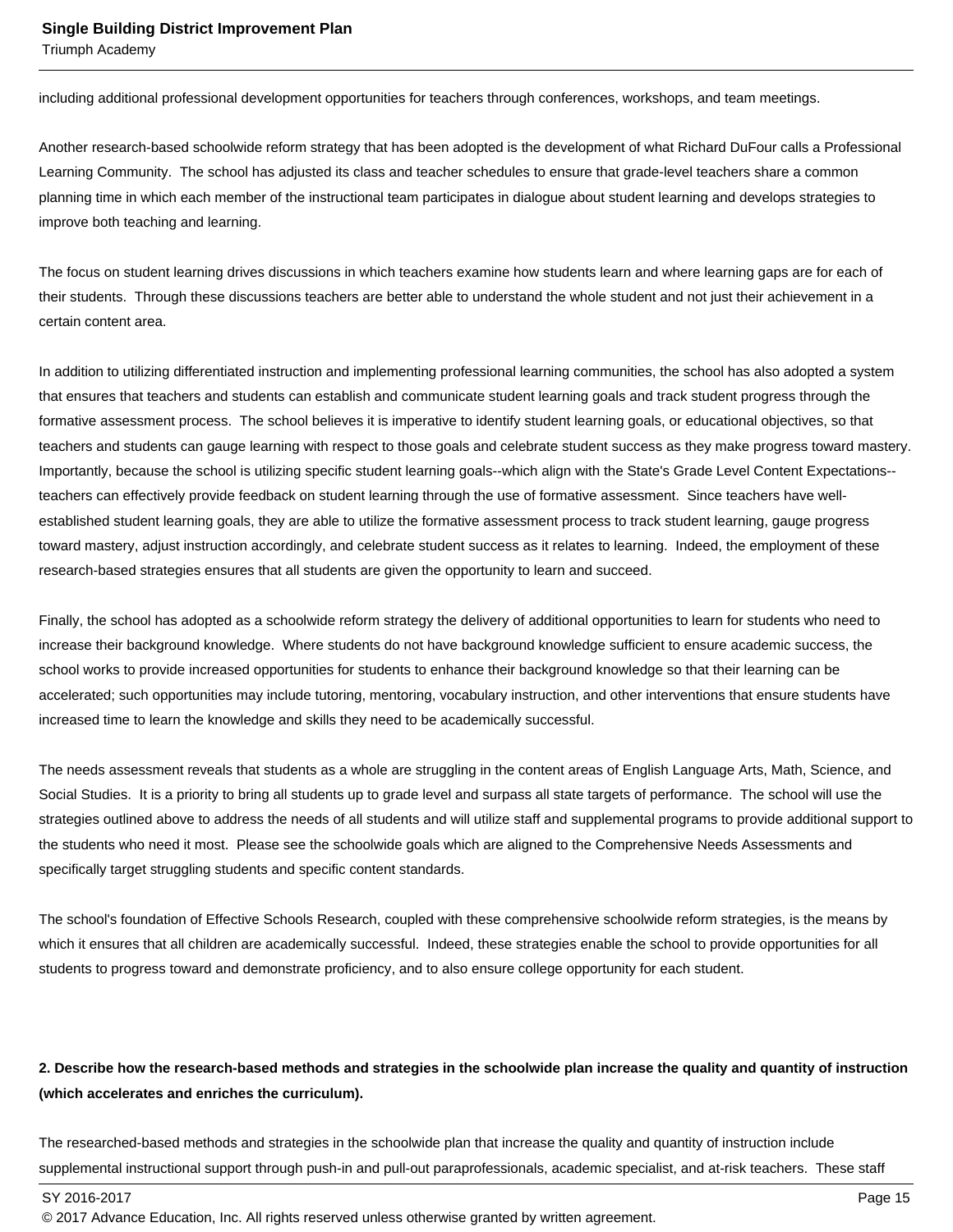Triumph Academy

including additional professional development opportunities for teachers through conferences, workshops, and team meetings.

Another research-based schoolwide reform strategy that has been adopted is the development of what Richard DuFour calls a Professional Learning Community. The school has adjusted its class and teacher schedules to ensure that grade-level teachers share a common planning time in which each member of the instructional team participates in dialogue about student learning and develops strategies to improve both teaching and learning.

The focus on student learning drives discussions in which teachers examine how students learn and where learning gaps are for each of their students. Through these discussions teachers are better able to understand the whole student and not just their achievement in a certain content area.

In addition to utilizing differentiated instruction and implementing professional learning communities, the school has also adopted a system that ensures that teachers and students can establish and communicate student learning goals and track student progress through the formative assessment process. The school believes it is imperative to identify student learning goals, or educational objectives, so that teachers and students can gauge learning with respect to those goals and celebrate student success as they make progress toward mastery. Importantly, because the school is utilizing specific student learning goals--which align with the State's Grade Level Content Expectations- teachers can effectively provide feedback on student learning through the use of formative assessment. Since teachers have wellestablished student learning goals, they are able to utilize the formative assessment process to track student learning, gauge progress toward mastery, adjust instruction accordingly, and celebrate student success as it relates to learning. Indeed, the employment of these research-based strategies ensures that all students are given the opportunity to learn and succeed.

Finally, the school has adopted as a schoolwide reform strategy the delivery of additional opportunities to learn for students who need to increase their background knowledge. Where students do not have background knowledge sufficient to ensure academic success, the school works to provide increased opportunities for students to enhance their background knowledge so that their learning can be accelerated; such opportunities may include tutoring, mentoring, vocabulary instruction, and other interventions that ensure students have increased time to learn the knowledge and skills they need to be academically successful.

The needs assessment reveals that students as a whole are struggling in the content areas of English Language Arts, Math, Science, and Social Studies. It is a priority to bring all students up to grade level and surpass all state targets of performance. The school will use the strategies outlined above to address the needs of all students and will utilize staff and supplemental programs to provide additional support to the students who need it most. Please see the schoolwide goals which are aligned to the Comprehensive Needs Assessments and specifically target struggling students and specific content standards.

The school's foundation of Effective Schools Research, coupled with these comprehensive schoolwide reform strategies, is the means by which it ensures that all children are academically successful. Indeed, these strategies enable the school to provide opportunities for all students to progress toward and demonstrate proficiency, and to also ensure college opportunity for each student.

### **2. Describe how the research-based methods and strategies in the schoolwide plan increase the quality and quantity of instruction (which accelerates and enriches the curriculum).**

The researched-based methods and strategies in the schoolwide plan that increase the quality and quantity of instruction include supplemental instructional support through push-in and pull-out paraprofessionals, academic specialist, and at-risk teachers. These staff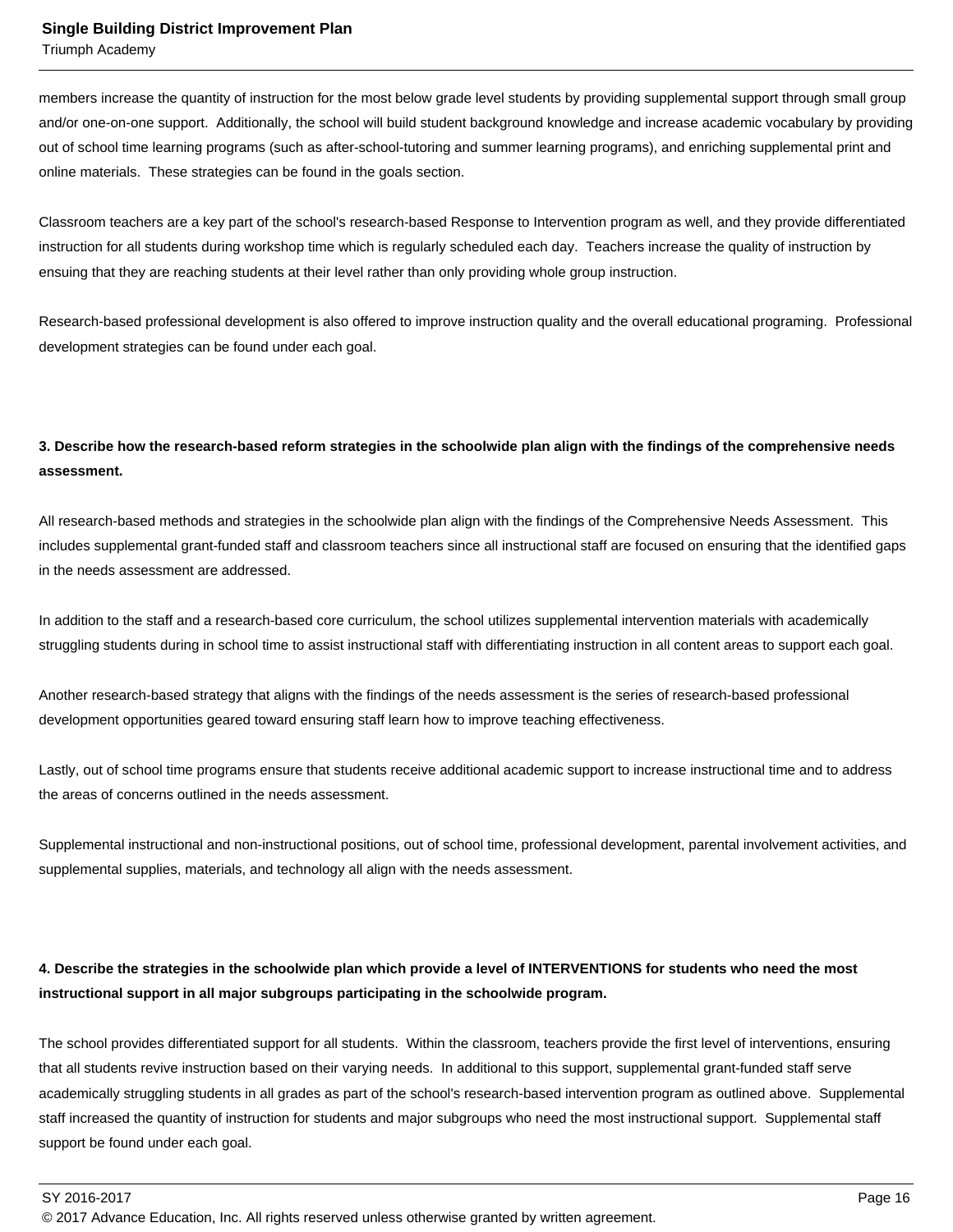Triumph Academy

members increase the quantity of instruction for the most below grade level students by providing supplemental support through small group and/or one-on-one support. Additionally, the school will build student background knowledge and increase academic vocabulary by providing out of school time learning programs (such as after-school-tutoring and summer learning programs), and enriching supplemental print and online materials. These strategies can be found in the goals section.

Classroom teachers are a key part of the school's research-based Response to Intervention program as well, and they provide differentiated instruction for all students during workshop time which is regularly scheduled each day. Teachers increase the quality of instruction by ensuing that they are reaching students at their level rather than only providing whole group instruction.

Research-based professional development is also offered to improve instruction quality and the overall educational programing. Professional development strategies can be found under each goal.

## **3. Describe how the research-based reform strategies in the schoolwide plan align with the findings of the comprehensive needs assessment.**

All research-based methods and strategies in the schoolwide plan align with the findings of the Comprehensive Needs Assessment. This includes supplemental grant-funded staff and classroom teachers since all instructional staff are focused on ensuring that the identified gaps in the needs assessment are addressed.

In addition to the staff and a research-based core curriculum, the school utilizes supplemental intervention materials with academically struggling students during in school time to assist instructional staff with differentiating instruction in all content areas to support each goal.

Another research-based strategy that aligns with the findings of the needs assessment is the series of research-based professional development opportunities geared toward ensuring staff learn how to improve teaching effectiveness.

Lastly, out of school time programs ensure that students receive additional academic support to increase instructional time and to address the areas of concerns outlined in the needs assessment.

Supplemental instructional and non-instructional positions, out of school time, professional development, parental involvement activities, and supplemental supplies, materials, and technology all align with the needs assessment.

## **4. Describe the strategies in the schoolwide plan which provide a level of INTERVENTIONS for students who need the most instructional support in all major subgroups participating in the schoolwide program.**

The school provides differentiated support for all students. Within the classroom, teachers provide the first level of interventions, ensuring that all students revive instruction based on their varying needs. In additional to this support, supplemental grant-funded staff serve academically struggling students in all grades as part of the school's research-based intervention program as outlined above. Supplemental staff increased the quantity of instruction for students and major subgroups who need the most instructional support. Supplemental staff support be found under each goal.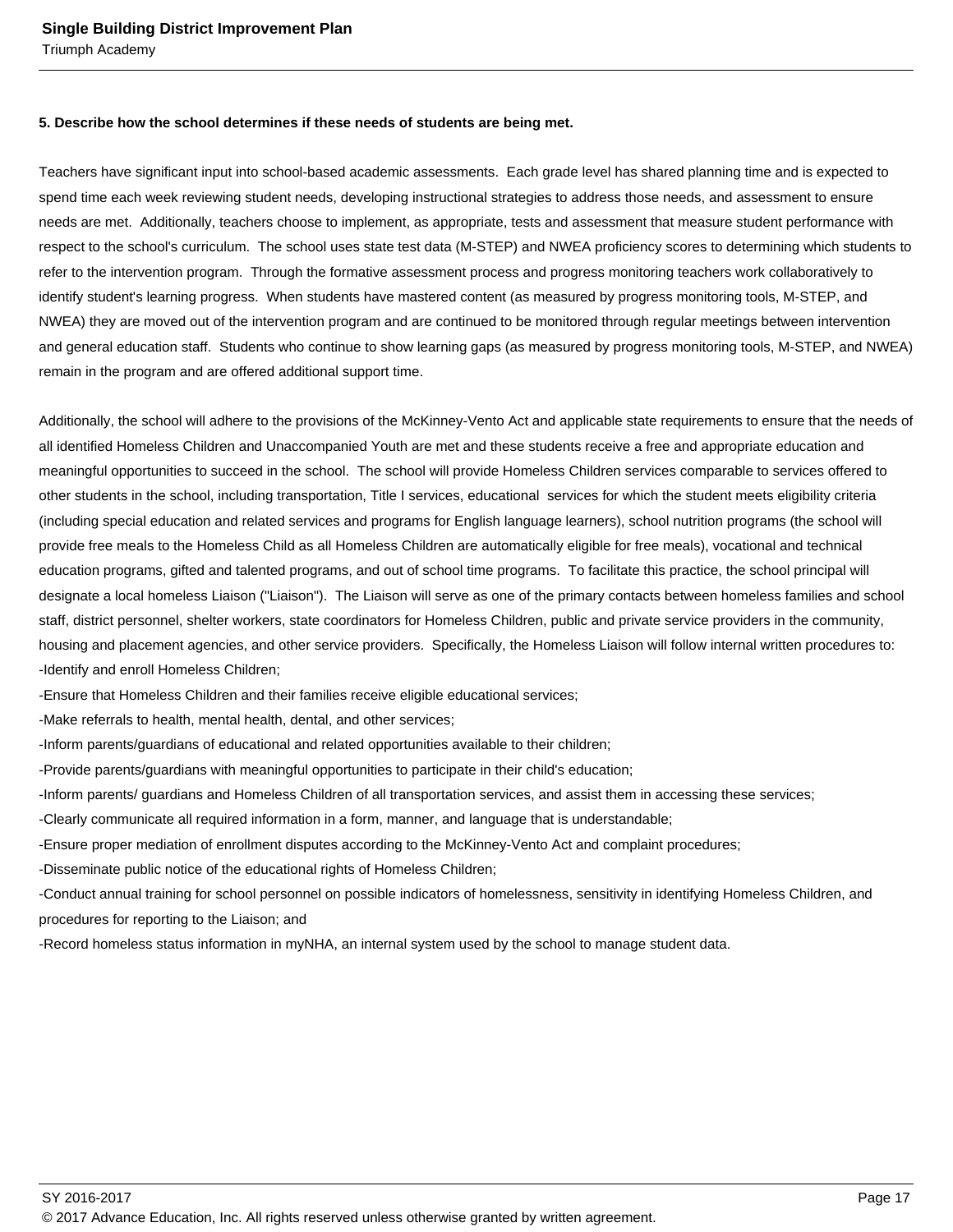#### **5. Describe how the school determines if these needs of students are being met.**

Teachers have significant input into school-based academic assessments. Each grade level has shared planning time and is expected to spend time each week reviewing student needs, developing instructional strategies to address those needs, and assessment to ensure needs are met. Additionally, teachers choose to implement, as appropriate, tests and assessment that measure student performance with respect to the school's curriculum. The school uses state test data (M-STEP) and NWEA proficiency scores to determining which students to refer to the intervention program. Through the formative assessment process and progress monitoring teachers work collaboratively to identify student's learning progress. When students have mastered content (as measured by progress monitoring tools, M-STEP, and NWEA) they are moved out of the intervention program and are continued to be monitored through regular meetings between intervention and general education staff. Students who continue to show learning gaps (as measured by progress monitoring tools, M-STEP, and NWEA) remain in the program and are offered additional support time.

Additionally, the school will adhere to the provisions of the McKinney-Vento Act and applicable state requirements to ensure that the needs of all identified Homeless Children and Unaccompanied Youth are met and these students receive a free and appropriate education and meaningful opportunities to succeed in the school. The school will provide Homeless Children services comparable to services offered to other students in the school, including transportation, Title I services, educational services for which the student meets eligibility criteria (including special education and related services and programs for English language learners), school nutrition programs (the school will provide free meals to the Homeless Child as all Homeless Children are automatically eligible for free meals), vocational and technical education programs, gifted and talented programs, and out of school time programs. To facilitate this practice, the school principal will designate a local homeless Liaison ("Liaison"). The Liaison will serve as one of the primary contacts between homeless families and school staff, district personnel, shelter workers, state coordinators for Homeless Children, public and private service providers in the community, housing and placement agencies, and other service providers. Specifically, the Homeless Liaison will follow internal written procedures to:

- Identify and enroll Homeless Children;
- Ensure that Homeless Children and their families receive eligible educational services;
- Make referrals to health, mental health, dental, and other services;
- Inform parents/guardians of educational and related opportunities available to their children;
- Provide parents/guardians with meaningful opportunities to participate in their child's education;
- Inform parents/ guardians and Homeless Children of all transportation services, and assist them in accessing these services;
- Clearly communicate all required information in a form, manner, and language that is understandable;
- Ensure proper mediation of enrollment disputes according to the McKinney-Vento Act and complaint procedures;
- Disseminate public notice of the educational rights of Homeless Children;

- Conduct annual training for school personnel on possible indicators of homelessness, sensitivity in identifying Homeless Children, and procedures for reporting to the Liaison; and

- Record homeless status information in myNHA, an internal system used by the school to manage student data.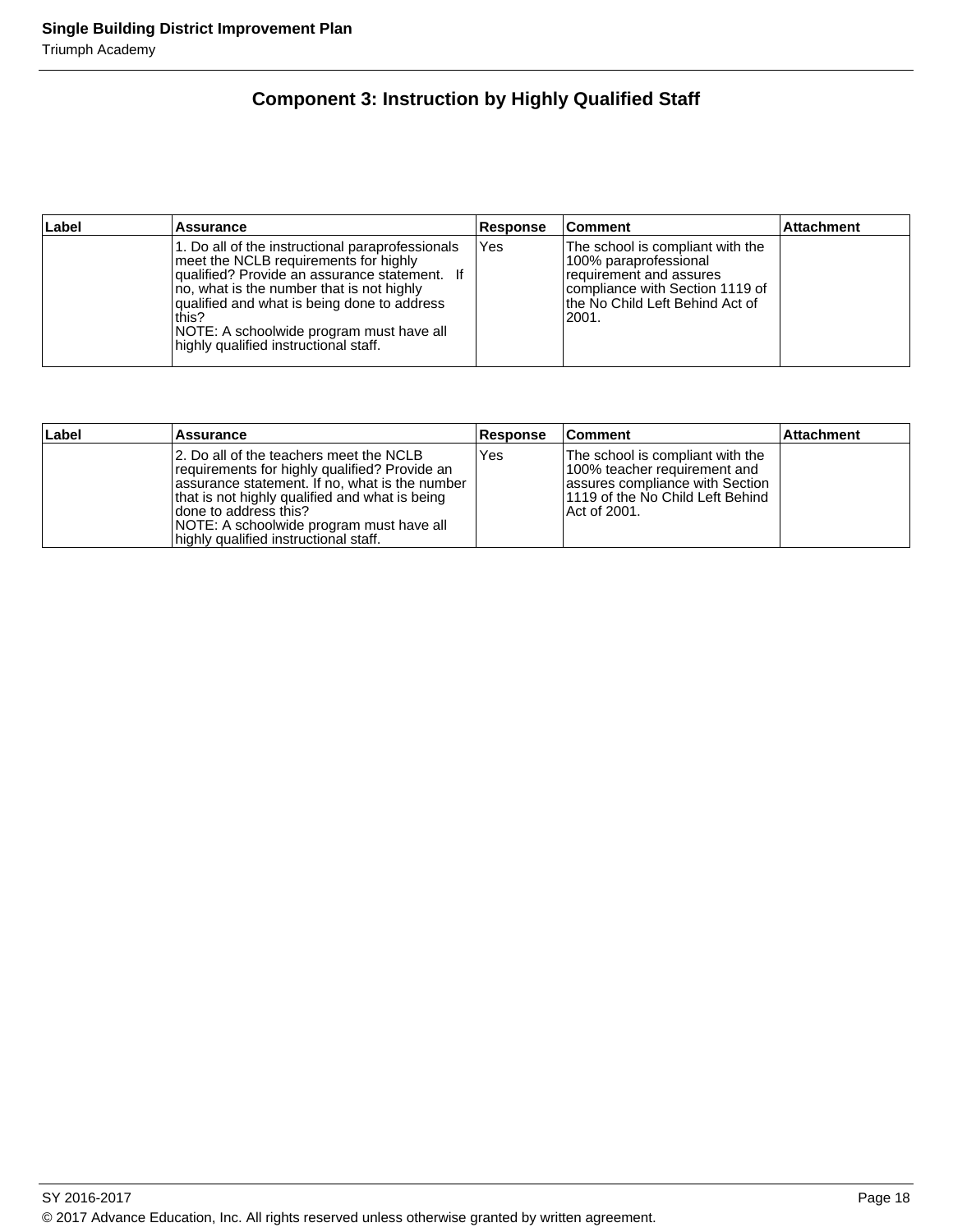## **Component 3: Instruction by Highly Qualified Staff**

| ∣Label | <b>Assurance</b>                                                                                                                                                                                                                                                                                                                     | Response | <b>Comment</b>                                                                                                                                                         | <b>Attachment</b> |
|--------|--------------------------------------------------------------------------------------------------------------------------------------------------------------------------------------------------------------------------------------------------------------------------------------------------------------------------------------|----------|------------------------------------------------------------------------------------------------------------------------------------------------------------------------|-------------------|
|        | 1. Do all of the instructional paraprofessionals<br>meet the NCLB requirements for highly<br>qualified? Provide an assurance statement. If<br>no, what is the number that is not highly<br>qualified and what is being done to address<br>this?<br>NOTE: A schoolwide program must have all<br>highly qualified instructional staff. | Yes      | The school is compliant with the<br>100% paraprofessional<br>requirement and assures<br>Icompliance with Section 1119 of<br>lthe No Child Left Behind Act of<br>l2001. |                   |

| Label | Assurance                                                                                                                                                                                                                                                                                                    | <b>Response</b> | <b>Comment</b>                                                                                                                                             | <b>Attachment</b> |
|-------|--------------------------------------------------------------------------------------------------------------------------------------------------------------------------------------------------------------------------------------------------------------------------------------------------------------|-----------------|------------------------------------------------------------------------------------------------------------------------------------------------------------|-------------------|
|       | 12. Do all of the teachers meet the NCLB<br>requirements for highly qualified? Provide an<br>assurance statement. If no, what is the number<br>that is not highly qualified and what is being<br>Idone to address this?<br>NOTE: A schoolwide program must have all<br>highly qualified instructional staff. | Yes             | The school is compliant with the<br>100% teacher requirement and<br>lassures compliance with Section<br>l 1119 of the No Child Left Behind<br>Act of 2001. |                   |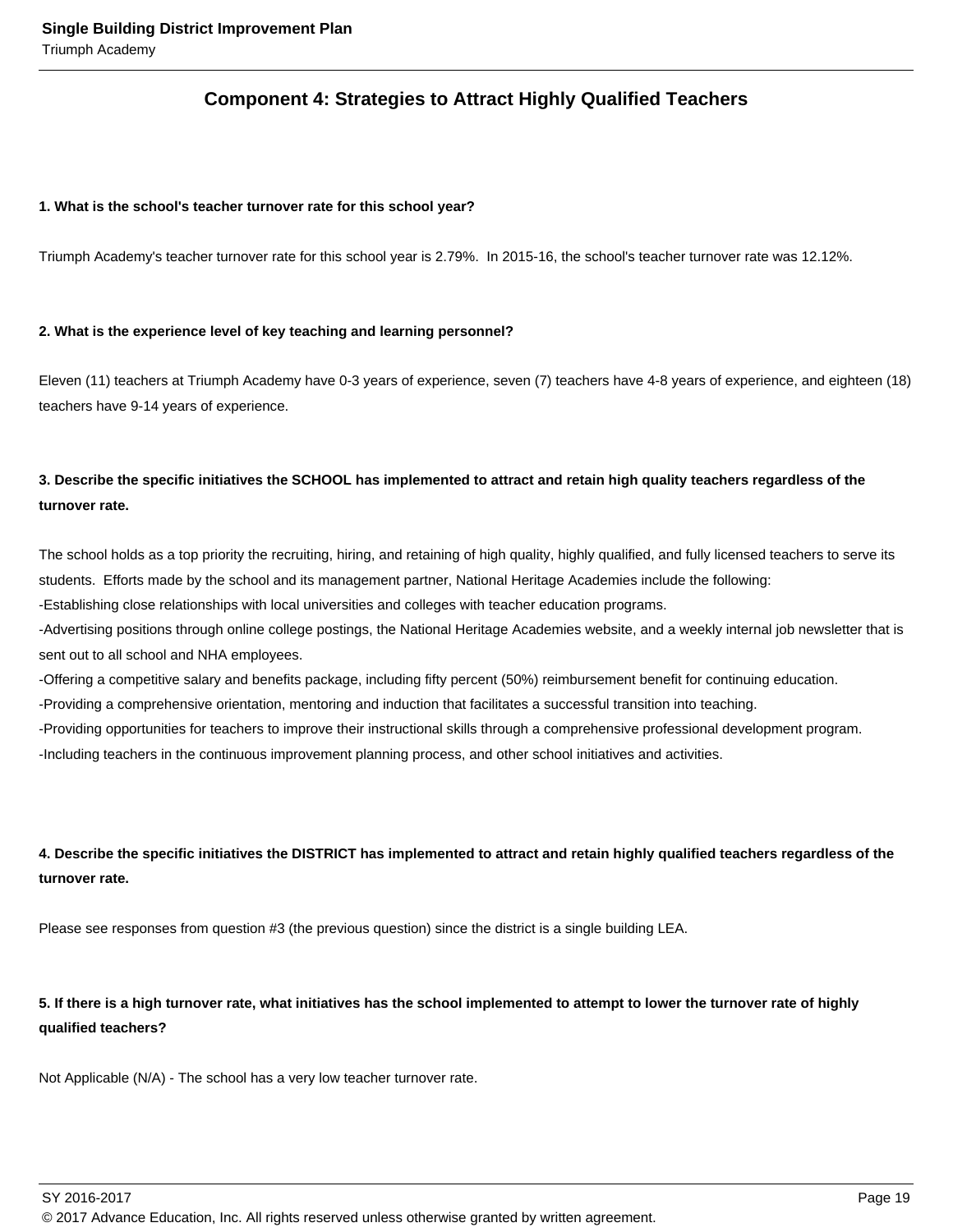## **Component 4: Strategies to Attract Highly Qualified Teachers**

#### **1. What is the school's teacher turnover rate for this school year?**

Triumph Academy's teacher turnover rate for this school year is 2.79%. In 2015-16, the school's teacher turnover rate was 12.12%.

#### **2. What is the experience level of key teaching and learning personnel?**

Eleven (11) teachers at Triumph Academy have 0-3 years of experience, seven (7) teachers have 4-8 years of experience, and eighteen (18) teachers have 9-14 years of experience.

## **3. Describe the specific initiatives the SCHOOL has implemented to attract and retain high quality teachers regardless of the turnover rate.**

The school holds as a top priority the recruiting, hiring, and retaining of high quality, highly qualified, and fully licensed teachers to serve its students. Efforts made by the school and its management partner, National Heritage Academies include the following:

- Establishing close relationships with local universities and colleges with teacher education programs.

- Advertising positions through online college postings, the National Heritage Academies website, and a weekly internal job newsletter that is sent out to all school and NHA employees.

- Offering a competitive salary and benefits package, including fifty percent (50%) reimbursement benefit for continuing education.

- Providing a comprehensive orientation, mentoring and induction that facilitates a successful transition into teaching.

- Providing opportunities for teachers to improve their instructional skills through a comprehensive professional development program.

- Including teachers in the continuous improvement planning process, and other school initiatives and activities.

## **4. Describe the specific initiatives the DISTRICT has implemented to attract and retain highly qualified teachers regardless of the turnover rate.**

Please see responses from question #3 (the previous question) since the district is a single building LEA.

## **5. If there is a high turnover rate, what initiatives has the school implemented to attempt to lower the turnover rate of highly qualified teachers?**

Not Applicable (N/A) - The school has a very low teacher turnover rate.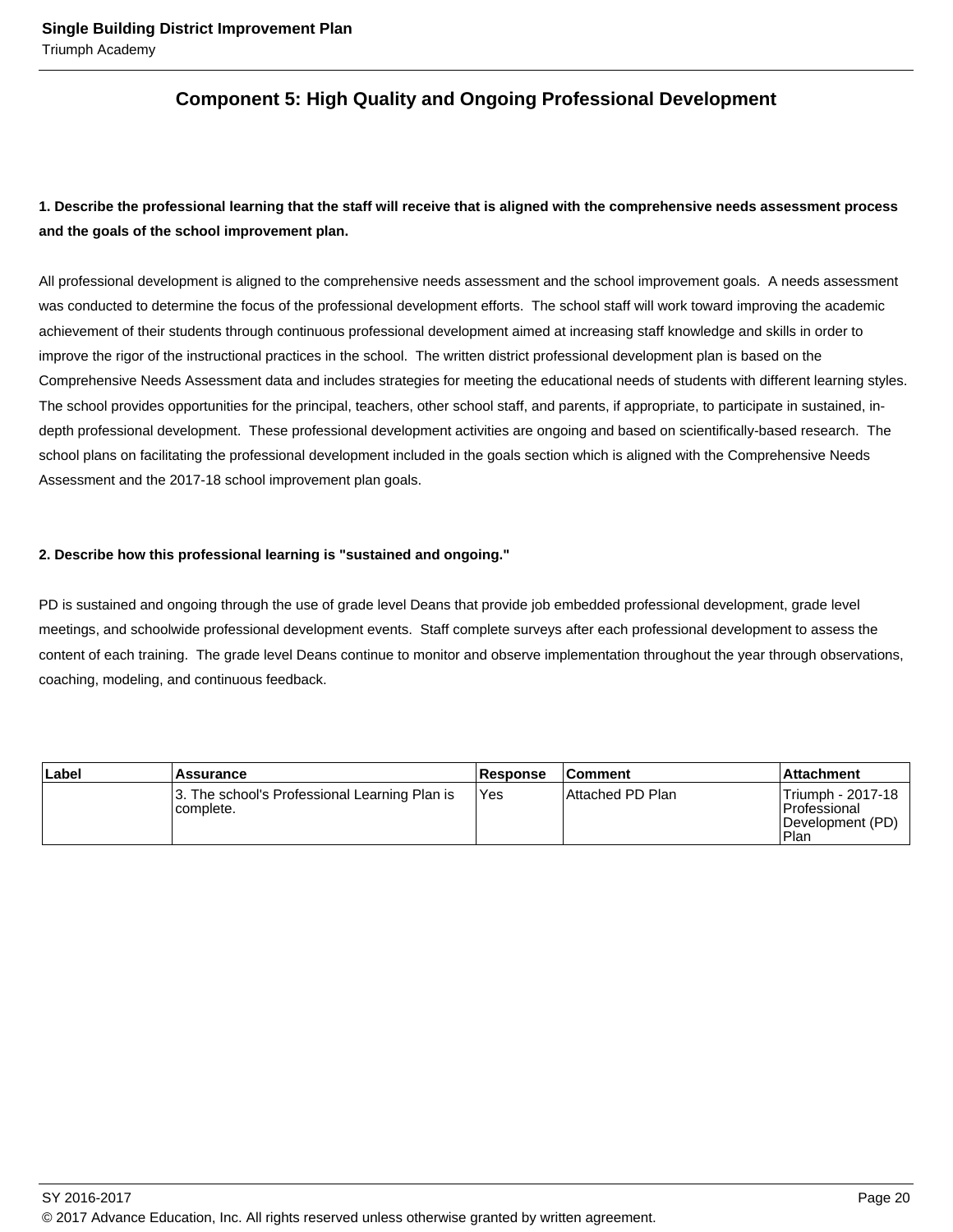## **Component 5: High Quality and Ongoing Professional Development**

## **1. Describe the professional learning that the staff will receive that is aligned with the comprehensive needs assessment process and the goals of the school improvement plan.**

All professional development is aligned to the comprehensive needs assessment and the school improvement goals. A needs assessment was conducted to determine the focus of the professional development efforts. The school staff will work toward improving the academic achievement of their students through continuous professional development aimed at increasing staff knowledge and skills in order to improve the rigor of the instructional practices in the school. The written district professional development plan is based on the Comprehensive Needs Assessment data and includes strategies for meeting the educational needs of students with different learning styles. The school provides opportunities for the principal, teachers, other school staff, and parents, if appropriate, to participate in sustained, indepth professional development. These professional development activities are ongoing and based on scientifically-based research. The school plans on facilitating the professional development included in the goals section which is aligned with the Comprehensive Needs Assessment and the 2017-18 school improvement plan goals.

#### **2. Describe how this professional learning is "sustained and ongoing."**

PD is sustained and ongoing through the use of grade level Deans that provide job embedded professional development, grade level meetings, and schoolwide professional development events. Staff complete surveys after each professional development to assess the content of each training. The grade level Deans continue to monitor and observe implementation throughout the year through observations, coaching, modeling, and continuous feedback.

| ∣Label | Assurance                                                  | Response | <b>Comment</b>    | ∣Attachment                                                      |
|--------|------------------------------------------------------------|----------|-------------------|------------------------------------------------------------------|
|        | 3. The school's Professional Learning Plan is<br>complete. | 'Yes     | IAttached PD Plan | 'Triumph - 2017-18<br>l Professional<br>Development (PD)<br>Plan |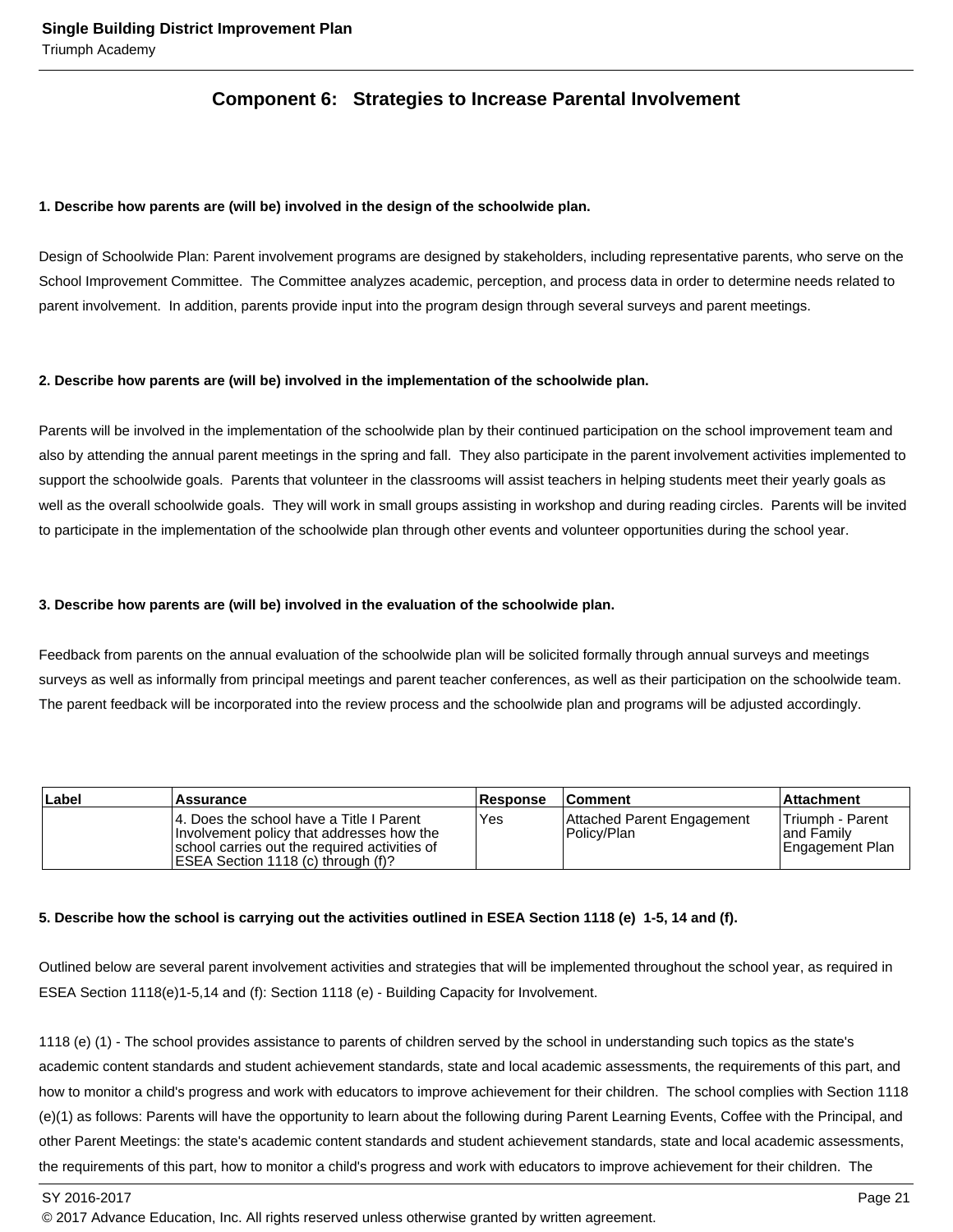## **Component 6: Strategies to Increase Parental Involvement**

#### **1. Describe how parents are (will be) involved in the design of the schoolwide plan.**

Design of Schoolwide Plan: Parent involvement programs are designed by stakeholders, including representative parents, who serve on the School Improvement Committee. The Committee analyzes academic, perception, and process data in order to determine needs related to parent involvement. In addition, parents provide input into the program design through several surveys and parent meetings.

#### **2. Describe how parents are (will be) involved in the implementation of the schoolwide plan.**

Parents will be involved in the implementation of the schoolwide plan by their continued participation on the school improvement team and also by attending the annual parent meetings in the spring and fall. They also participate in the parent involvement activities implemented to support the schoolwide goals. Parents that volunteer in the classrooms will assist teachers in helping students meet their yearly goals as well as the overall schoolwide goals. They will work in small groups assisting in workshop and during reading circles. Parents will be invited to participate in the implementation of the schoolwide plan through other events and volunteer opportunities during the school year.

#### **3. Describe how parents are (will be) involved in the evaluation of the schoolwide plan.**

Feedback from parents on the annual evaluation of the schoolwide plan will be solicited formally through annual surveys and meetings surveys as well as informally from principal meetings and parent teacher conferences, as well as their participation on the schoolwide team. The parent feedback will be incorporated into the review process and the schoolwide plan and programs will be adjusted accordingly.

| Label | Assurance                                                                                                                                                                      | <b>Response</b> | <b>Comment</b>                            | <b>Attachment</b>                                         |
|-------|--------------------------------------------------------------------------------------------------------------------------------------------------------------------------------|-----------------|-------------------------------------------|-----------------------------------------------------------|
|       | 14. Does the school have a Title I Parent<br>Involvement policy that addresses how the<br>school carries out the required activities of<br>IESEA Section 1118 (c) through (f)? | <b>Yes</b>      | Attached Parent Engagement<br>Policy/Plan | <b>Triumph - Parent</b><br>land Family<br>Engagement Plan |

#### **5. Describe how the school is carrying out the activities outlined in ESEA Section 1118 (e) 1-5, 14 and (f).**

Outlined below are several parent involvement activities and strategies that will be implemented throughout the school year, as required in ESEA Section 1118(e)1-5,14 and (f): Section 1118 (e) - Building Capacity for Involvement.

1118 (e) (1) - The school provides assistance to parents of children served by the school in understanding such topics as the state's academic content standards and student achievement standards, state and local academic assessments, the requirements of this part, and how to monitor a child's progress and work with educators to improve achievement for their children. The school complies with Section 1118 (e)(1) as follows: Parents will have the opportunity to learn about the following during Parent Learning Events, Coffee with the Principal, and other Parent Meetings: the state's academic content standards and student achievement standards, state and local academic assessments, the requirements of this part, how to monitor a child's progress and work with educators to improve achievement for their children. The

SY 2016-2017 Page 21

<sup>© 2017</sup> Advance Education, Inc. All rights reserved unless otherwise granted by written agreement.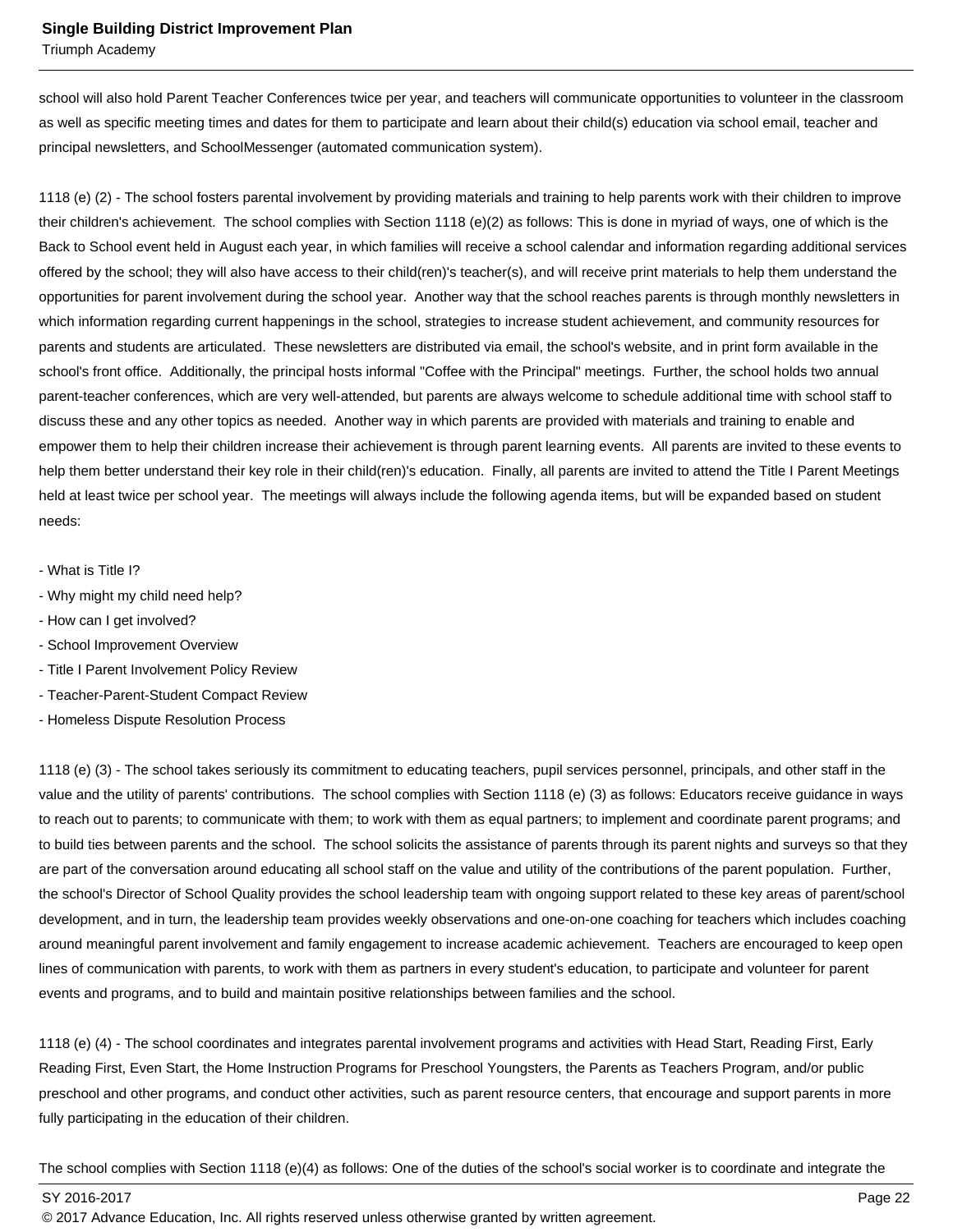Triumph Academy

school will also hold Parent Teacher Conferences twice per year, and teachers will communicate opportunities to volunteer in the classroom as well as specific meeting times and dates for them to participate and learn about their child(s) education via school email, teacher and principal newsletters, and SchoolMessenger (automated communication system).

1118 (e) (2) - The school fosters parental involvement by providing materials and training to help parents work with their children to improve their children's achievement. The school complies with Section 1118 (e)(2) as follows: This is done in myriad of ways, one of which is the Back to School event held in August each year, in which families will receive a school calendar and information regarding additional services offered by the school; they will also have access to their child(ren)'s teacher(s), and will receive print materials to help them understand the opportunities for parent involvement during the school year. Another way that the school reaches parents is through monthly newsletters in which information regarding current happenings in the school, strategies to increase student achievement, and community resources for parents and students are articulated. These newsletters are distributed via email, the school's website, and in print form available in the school's front office. Additionally, the principal hosts informal "Coffee with the Principal" meetings. Further, the school holds two annual parent-teacher conferences, which are very well-attended, but parents are always welcome to schedule additional time with school staff to discuss these and any other topics as needed. Another way in which parents are provided with materials and training to enable and empower them to help their children increase their achievement is through parent learning events. All parents are invited to these events to help them better understand their key role in their child(ren)'s education. Finally, all parents are invited to attend the Title I Parent Meetings held at least twice per school year. The meetings will always include the following agenda items, but will be expanded based on student needs:

- What is Title I?
- Why might my child need help?
- How can I get involved?
- School Improvement Overview
- Title I Parent Involvement Policy Review
- Teacher-Parent-Student Compact Review
- Homeless Dispute Resolution Process

1118 (e) (3) - The school takes seriously its commitment to educating teachers, pupil services personnel, principals, and other staff in the value and the utility of parents' contributions. The school complies with Section 1118 (e) (3) as follows: Educators receive guidance in ways to reach out to parents; to communicate with them; to work with them as equal partners; to implement and coordinate parent programs; and to build ties between parents and the school. The school solicits the assistance of parents through its parent nights and surveys so that they are part of the conversation around educating all school staff on the value and utility of the contributions of the parent population. Further, the school's Director of School Quality provides the school leadership team with ongoing support related to these key areas of parent/school development, and in turn, the leadership team provides weekly observations and one-on-one coaching for teachers which includes coaching around meaningful parent involvement and family engagement to increase academic achievement. Teachers are encouraged to keep open lines of communication with parents, to work with them as partners in every student's education, to participate and volunteer for parent events and programs, and to build and maintain positive relationships between families and the school.

1118 (e) (4) - The school coordinates and integrates parental involvement programs and activities with Head Start, Reading First, Early Reading First, Even Start, the Home Instruction Programs for Preschool Youngsters, the Parents as Teachers Program, and/or public preschool and other programs, and conduct other activities, such as parent resource centers, that encourage and support parents in more fully participating in the education of their children.

The school complies with Section 1118 (e)(4) as follows: One of the duties of the school's social worker is to coordinate and integrate the

SY 2016-2017 Page 22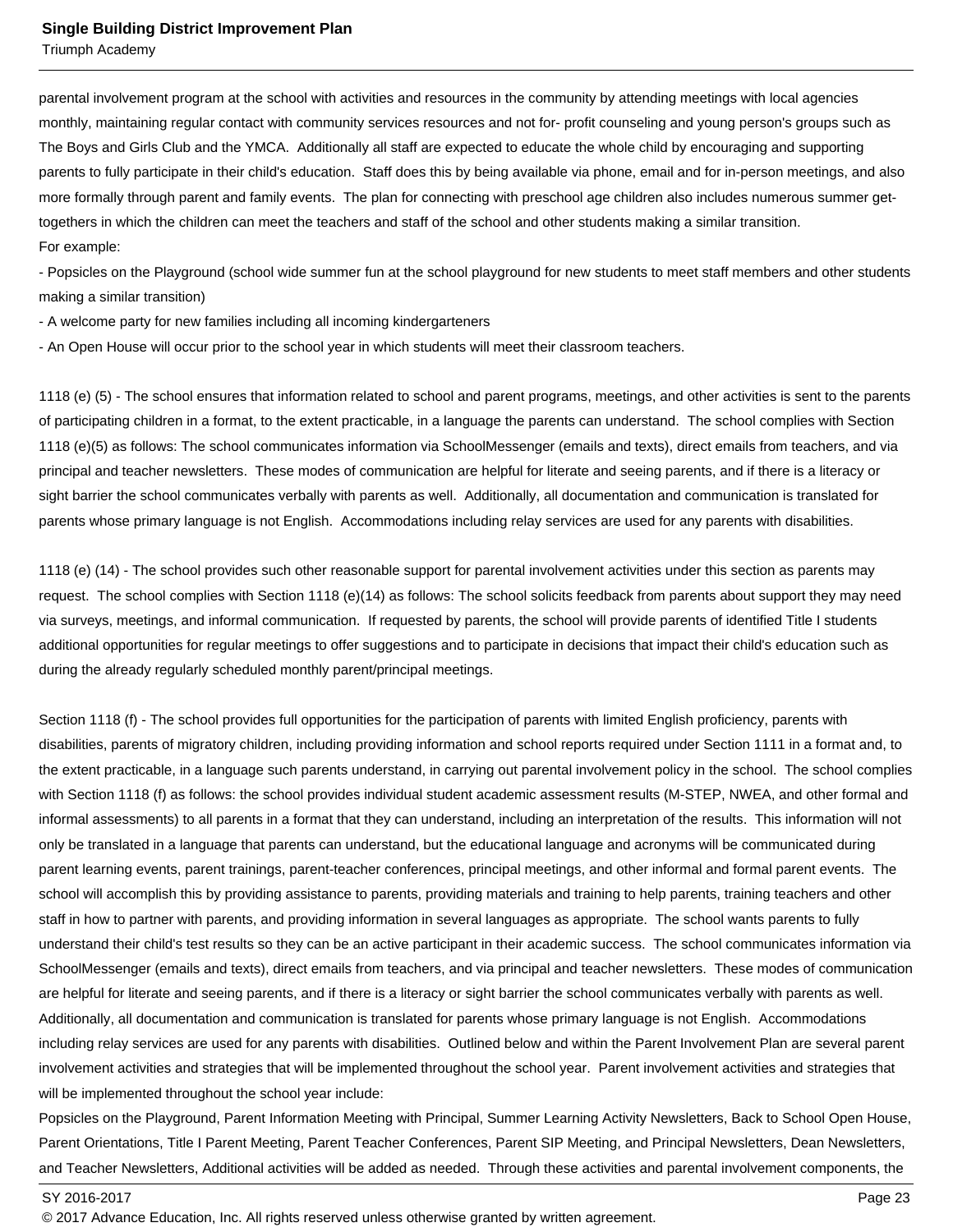Triumph Academy

parental involvement program at the school with activities and resources in the community by attending meetings with local agencies monthly, maintaining regular contact with community services resources and not for- profit counseling and young person's groups such as The Boys and Girls Club and the YMCA. Additionally all staff are expected to educate the whole child by encouraging and supporting parents to fully participate in their child's education. Staff does this by being available via phone, email and for in-person meetings, and also more formally through parent and family events. The plan for connecting with preschool age children also includes numerous summer gettogethers in which the children can meet the teachers and staff of the school and other students making a similar transition. For example:

- Popsicles on the Playground (school wide summer fun at the school playground for new students to meet staff members and other students making a similar transition)

- A welcome party for new families including all incoming kindergarteners

- An Open House will occur prior to the school year in which students will meet their classroom teachers.

1118 (e) (5) - The school ensures that information related to school and parent programs, meetings, and other activities is sent to the parents of participating children in a format, to the extent practicable, in a language the parents can understand. The school complies with Section 1118 (e)(5) as follows: The school communicates information via SchoolMessenger (emails and texts), direct emails from teachers, and via principal and teacher newsletters. These modes of communication are helpful for literate and seeing parents, and if there is a literacy or sight barrier the school communicates verbally with parents as well. Additionally, all documentation and communication is translated for parents whose primary language is not English. Accommodations including relay services are used for any parents with disabilities.

1118 (e) (14) - The school provides such other reasonable support for parental involvement activities under this section as parents may request. The school complies with Section 1118 (e)(14) as follows: The school solicits feedback from parents about support they may need via surveys, meetings, and informal communication. If requested by parents, the school will provide parents of identified Title I students additional opportunities for regular meetings to offer suggestions and to participate in decisions that impact their child's education such as during the already regularly scheduled monthly parent/principal meetings.

Section 1118 (f) - The school provides full opportunities for the participation of parents with limited English proficiency, parents with disabilities, parents of migratory children, including providing information and school reports required under Section 1111 in a format and, to the extent practicable, in a language such parents understand, in carrying out parental involvement policy in the school. The school complies with Section 1118 (f) as follows: the school provides individual student academic assessment results (M-STEP, NWEA, and other formal and informal assessments) to all parents in a format that they can understand, including an interpretation of the results. This information will not only be translated in a language that parents can understand, but the educational language and acronyms will be communicated during parent learning events, parent trainings, parent-teacher conferences, principal meetings, and other informal and formal parent events. The school will accomplish this by providing assistance to parents, providing materials and training to help parents, training teachers and other staff in how to partner with parents, and providing information in several languages as appropriate. The school wants parents to fully understand their child's test results so they can be an active participant in their academic success. The school communicates information via SchoolMessenger (emails and texts), direct emails from teachers, and via principal and teacher newsletters. These modes of communication are helpful for literate and seeing parents, and if there is a literacy or sight barrier the school communicates verbally with parents as well. Additionally, all documentation and communication is translated for parents whose primary language is not English. Accommodations including relay services are used for any parents with disabilities. Outlined below and within the Parent Involvement Plan are several parent involvement activities and strategies that will be implemented throughout the school year. Parent involvement activities and strategies that will be implemented throughout the school year include:

Popsicles on the Playground, Parent Information Meeting with Principal, Summer Learning Activity Newsletters, Back to School Open House, Parent Orientations, Title I Parent Meeting, Parent Teacher Conferences, Parent SIP Meeting, and Principal Newsletters, Dean Newsletters, and Teacher Newsletters, Additional activities will be added as needed. Through these activities and parental involvement components, the

<sup>© 2017</sup> Advance Education, Inc. All rights reserved unless otherwise granted by written agreement.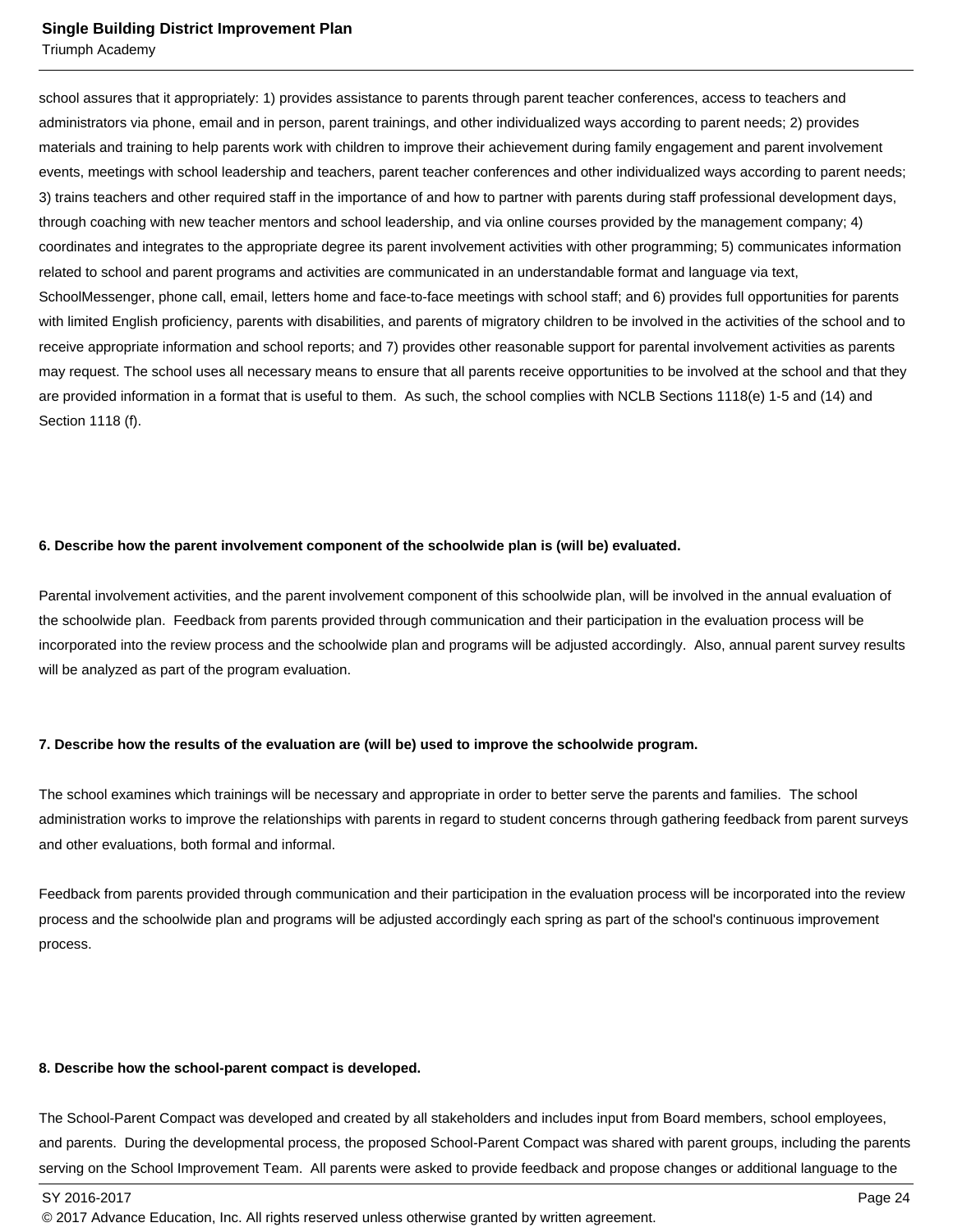Triumph Academy

school assures that it appropriately: 1) provides assistance to parents through parent teacher conferences, access to teachers and administrators via phone, email and in person, parent trainings, and other individualized ways according to parent needs; 2) provides materials and training to help parents work with children to improve their achievement during family engagement and parent involvement events, meetings with school leadership and teachers, parent teacher conferences and other individualized ways according to parent needs; 3) trains teachers and other required staff in the importance of and how to partner with parents during staff professional development days, through coaching with new teacher mentors and school leadership, and via online courses provided by the management company; 4) coordinates and integrates to the appropriate degree its parent involvement activities with other programming; 5) communicates information related to school and parent programs and activities are communicated in an understandable format and language via text, SchoolMessenger, phone call, email, letters home and face-to-face meetings with school staff; and 6) provides full opportunities for parents with limited English proficiency, parents with disabilities, and parents of migratory children to be involved in the activities of the school and to receive appropriate information and school reports; and 7) provides other reasonable support for parental involvement activities as parents may request. The school uses all necessary means to ensure that all parents receive opportunities to be involved at the school and that they are provided information in a format that is useful to them. As such, the school complies with NCLB Sections 1118(e) 1-5 and (14) and Section 1118 (f).

#### **6. Describe how the parent involvement component of the schoolwide plan is (will be) evaluated.**

Parental involvement activities, and the parent involvement component of this schoolwide plan, will be involved in the annual evaluation of the schoolwide plan. Feedback from parents provided through communication and their participation in the evaluation process will be incorporated into the review process and the schoolwide plan and programs will be adjusted accordingly. Also, annual parent survey results will be analyzed as part of the program evaluation.

#### **7. Describe how the results of the evaluation are (will be) used to improve the schoolwide program.**

The school examines which trainings will be necessary and appropriate in order to better serve the parents and families. The school administration works to improve the relationships with parents in regard to student concerns through gathering feedback from parent surveys and other evaluations, both formal and informal.

Feedback from parents provided through communication and their participation in the evaluation process will be incorporated into the review process and the schoolwide plan and programs will be adjusted accordingly each spring as part of the school's continuous improvement process.

#### **8. Describe how the school-parent compact is developed.**

The School-Parent Compact was developed and created by all stakeholders and includes input from Board members, school employees, and parents. During the developmental process, the proposed School-Parent Compact was shared with parent groups, including the parents serving on the School Improvement Team. All parents were asked to provide feedback and propose changes or additional language to the

<sup>© 2017</sup> Advance Education, Inc. All rights reserved unless otherwise granted by written agreement.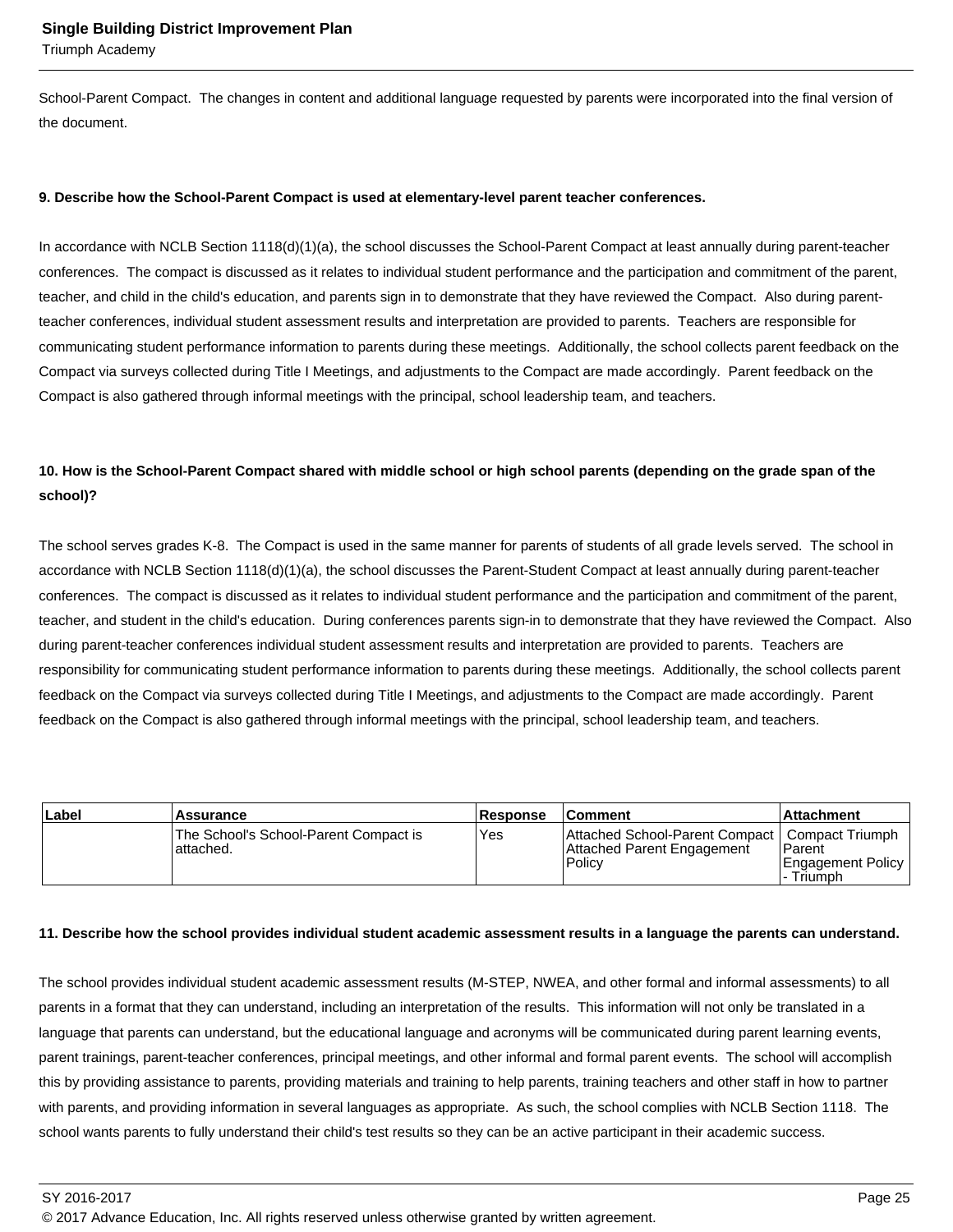Triumph Academy

School-Parent Compact. The changes in content and additional language requested by parents were incorporated into the final version of the document.

#### **9. Describe how the School-Parent Compact is used at elementary-level parent teacher conferences.**

In accordance with NCLB Section 1118(d)(1)(a), the school discusses the School-Parent Compact at least annually during parent-teacher conferences. The compact is discussed as it relates to individual student performance and the participation and commitment of the parent, teacher, and child in the child's education, and parents sign in to demonstrate that they have reviewed the Compact. Also during parentteacher conferences, individual student assessment results and interpretation are provided to parents. Teachers are responsible for communicating student performance information to parents during these meetings. Additionally, the school collects parent feedback on the Compact via surveys collected during Title I Meetings, and adjustments to the Compact are made accordingly. Parent feedback on the Compact is also gathered through informal meetings with the principal, school leadership team, and teachers.

## **10. How is the School-Parent Compact shared with middle school or high school parents (depending on the grade span of the school)?**

The school serves grades K-8. The Compact is used in the same manner for parents of students of all grade levels served. The school in accordance with NCLB Section 1118(d)(1)(a), the school discusses the Parent-Student Compact at least annually during parent-teacher conferences. The compact is discussed as it relates to individual student performance and the participation and commitment of the parent, teacher, and student in the child's education. During conferences parents sign-in to demonstrate that they have reviewed the Compact. Also during parent-teacher conferences individual student assessment results and interpretation are provided to parents. Teachers are responsibility for communicating student performance information to parents during these meetings. Additionally, the school collects parent feedback on the Compact via surveys collected during Title I Meetings, and adjustments to the Compact are made accordingly. Parent feedback on the Compact is also gathered through informal meetings with the principal, school leadership team, and teachers.

| Label | <b>Assurance</b>                                    | <b>Response</b> | <b>Comment</b>                                                                           | l Attachment                                      |
|-------|-----------------------------------------------------|-----------------|------------------------------------------------------------------------------------------|---------------------------------------------------|
|       | The School's School-Parent Compact is<br>lattached. | Yes             | Attached School-Parent Compact   Compact Triumph<br>Attached Parent Engagement<br>Policy | Parent<br><b>I Engagement Policy</b><br>- Triumph |

#### **11. Describe how the school provides individual student academic assessment results in a language the parents can understand.**

The school provides individual student academic assessment results (M-STEP, NWEA, and other formal and informal assessments) to all parents in a format that they can understand, including an interpretation of the results. This information will not only be translated in a language that parents can understand, but the educational language and acronyms will be communicated during parent learning events, parent trainings, parent-teacher conferences, principal meetings, and other informal and formal parent events. The school will accomplish this by providing assistance to parents, providing materials and training to help parents, training teachers and other staff in how to partner with parents, and providing information in several languages as appropriate. As such, the school complies with NCLB Section 1118. The school wants parents to fully understand their child's test results so they can be an active participant in their academic success.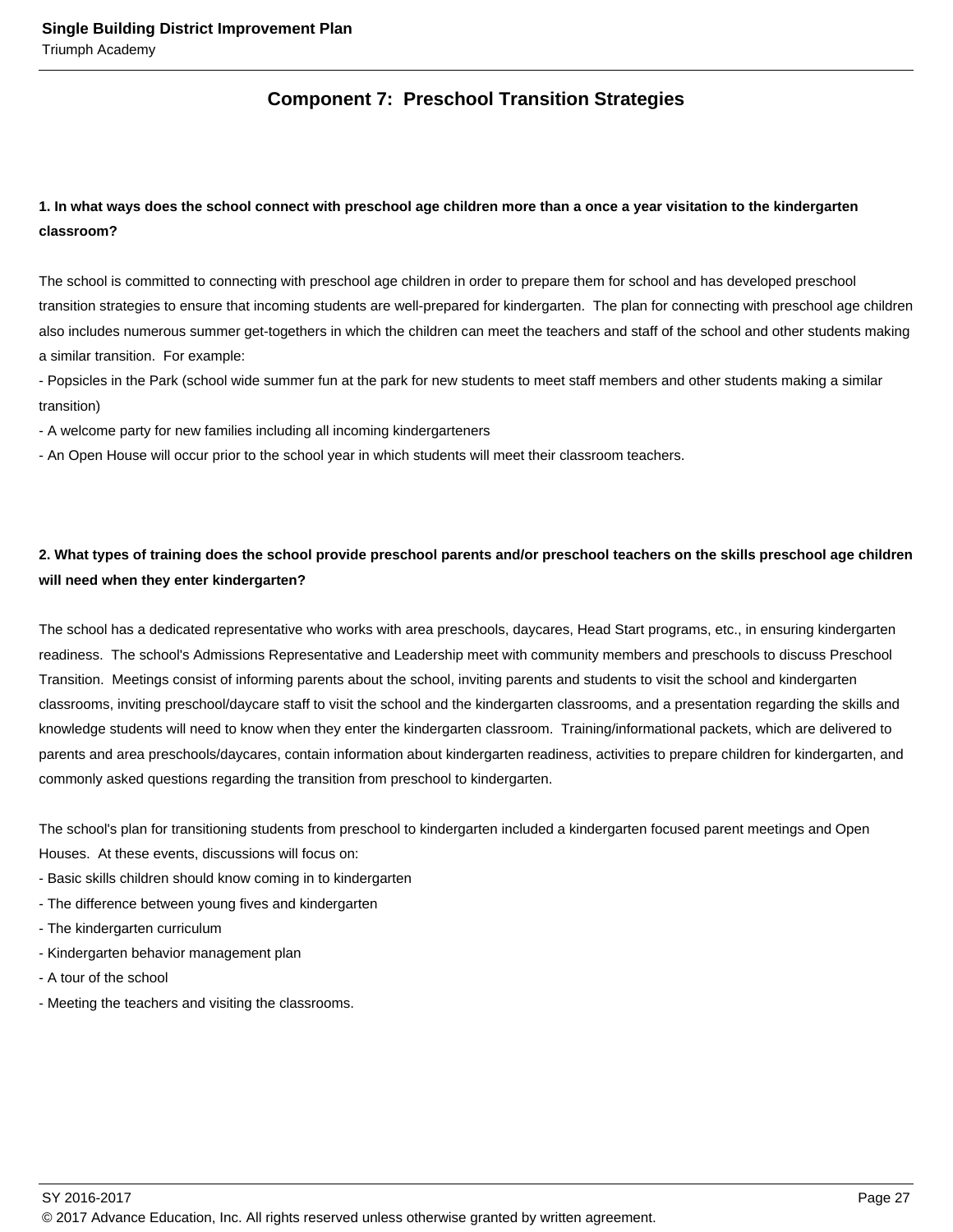## **Component 7: Preschool Transition Strategies**

## **1. In what ways does the school connect with preschool age children more than a once a year visitation to the kindergarten classroom?**

The school is committed to connecting with preschool age children in order to prepare them for school and has developed preschool transition strategies to ensure that incoming students are well-prepared for kindergarten. The plan for connecting with preschool age children also includes numerous summer get-togethers in which the children can meet the teachers and staff of the school and other students making a similar transition. For example:

- Popsicles in the Park (school wide summer fun at the park for new students to meet staff members and other students making a similar transition)

- A welcome party for new families including all incoming kindergarteners

- An Open House will occur prior to the school year in which students will meet their classroom teachers.

## **2. What types of training does the school provide preschool parents and/or preschool teachers on the skills preschool age children will need when they enter kindergarten?**

The school has a dedicated representative who works with area preschools, daycares, Head Start programs, etc., in ensuring kindergarten readiness. The school's Admissions Representative and Leadership meet with community members and preschools to discuss Preschool Transition. Meetings consist of informing parents about the school, inviting parents and students to visit the school and kindergarten classrooms, inviting preschool/daycare staff to visit the school and the kindergarten classrooms, and a presentation regarding the skills and knowledge students will need to know when they enter the kindergarten classroom. Training/informational packets, which are delivered to parents and area preschools/daycares, contain information about kindergarten readiness, activities to prepare children for kindergarten, and commonly asked questions regarding the transition from preschool to kindergarten.

The school's plan for transitioning students from preschool to kindergarten included a kindergarten focused parent meetings and Open Houses. At these events, discussions will focus on:

- Basic skills children should know coming in to kindergarten
- The difference between young fives and kindergarten
- The kindergarten curriculum
- Kindergarten behavior management plan
- A tour of the school
- Meeting the teachers and visiting the classrooms.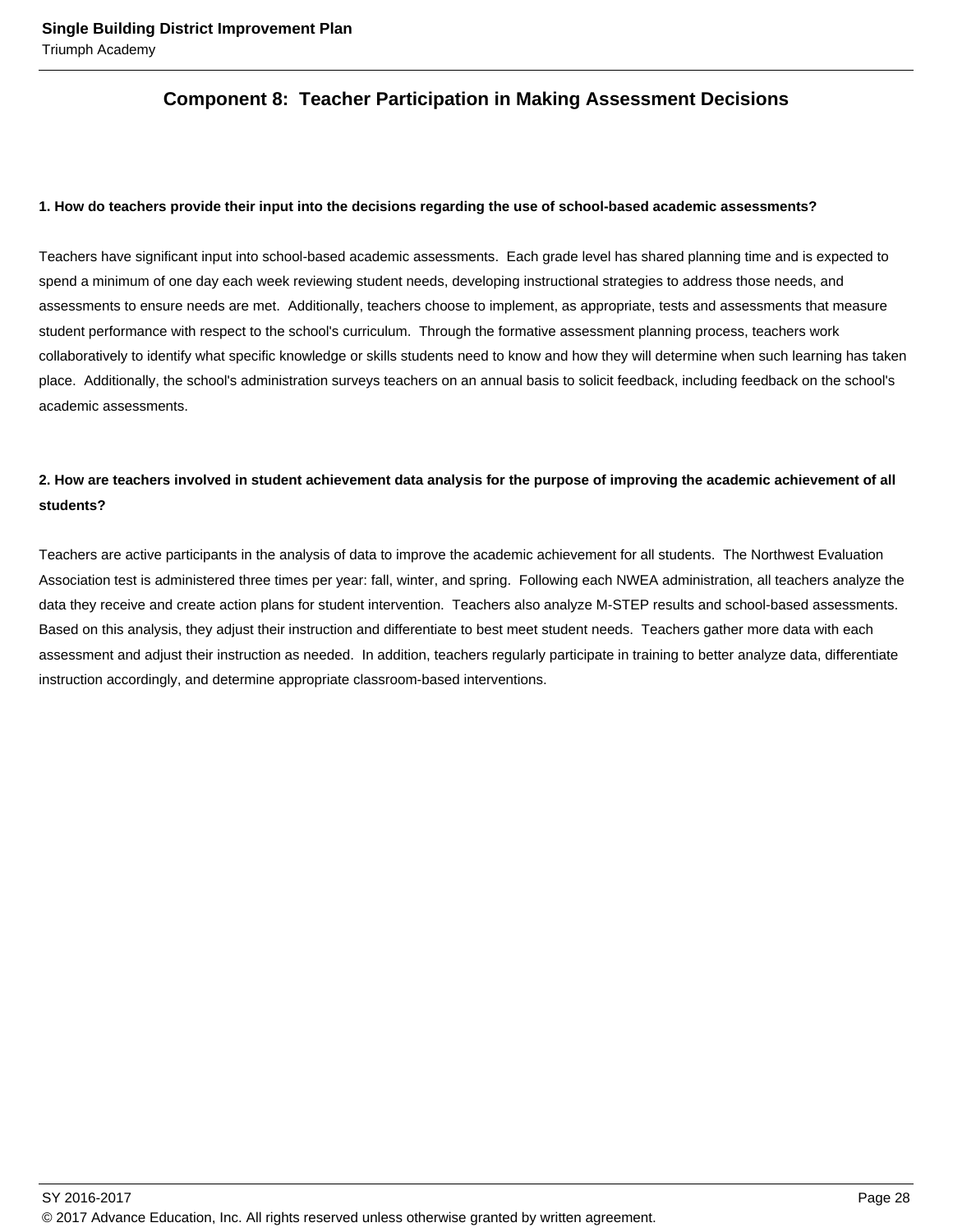## **Component 8: Teacher Participation in Making Assessment Decisions**

#### **1. How do teachers provide their input into the decisions regarding the use of school-based academic assessments?**

Teachers have significant input into school-based academic assessments. Each grade level has shared planning time and is expected to spend a minimum of one day each week reviewing student needs, developing instructional strategies to address those needs, and assessments to ensure needs are met. Additionally, teachers choose to implement, as appropriate, tests and assessments that measure student performance with respect to the school's curriculum. Through the formative assessment planning process, teachers work collaboratively to identify what specific knowledge or skills students need to know and how they will determine when such learning has taken place. Additionally, the school's administration surveys teachers on an annual basis to solicit feedback, including feedback on the school's academic assessments.

## **2. How are teachers involved in student achievement data analysis for the purpose of improving the academic achievement of all students?**

Teachers are active participants in the analysis of data to improve the academic achievement for all students. The Northwest Evaluation Association test is administered three times per year: fall, winter, and spring. Following each NWEA administration, all teachers analyze the data they receive and create action plans for student intervention. Teachers also analyze M-STEP results and school-based assessments. Based on this analysis, they adjust their instruction and differentiate to best meet student needs. Teachers gather more data with each assessment and adjust their instruction as needed. In addition, teachers regularly participate in training to better analyze data, differentiate instruction accordingly, and determine appropriate classroom-based interventions.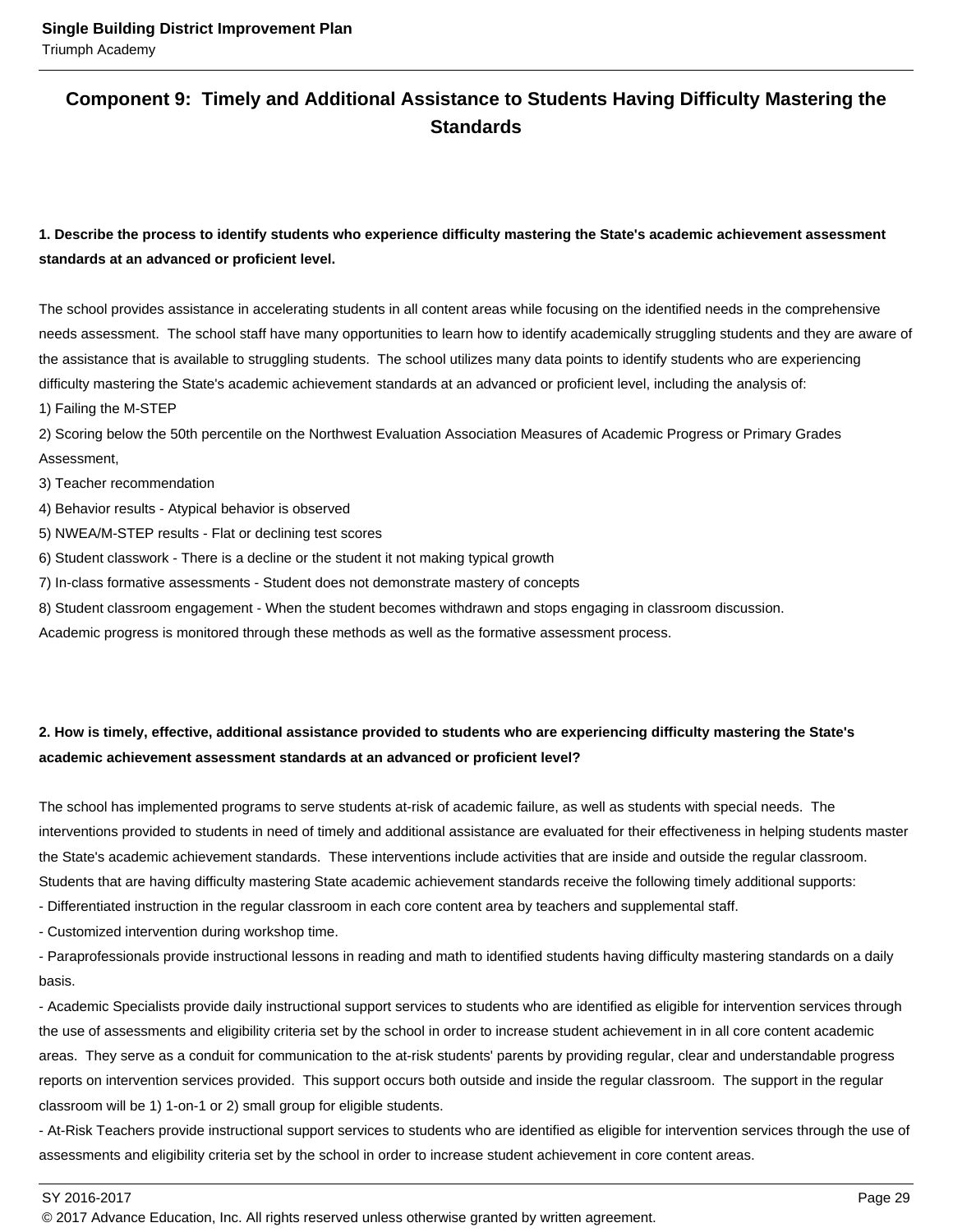## **Component 9: Timely and Additional Assistance to Students Having Difficulty Mastering the Standards**

## **1. Describe the process to identify students who experience difficulty mastering the State's academic achievement assessment standards at an advanced or proficient level.**

The school provides assistance in accelerating students in all content areas while focusing on the identified needs in the comprehensive needs assessment. The school staff have many opportunities to learn how to identify academically struggling students and they are aware of the assistance that is available to struggling students. The school utilizes many data points to identify students who are experiencing difficulty mastering the State's academic achievement standards at an advanced or proficient level, including the analysis of:

1) Failing the M-STEP

2) Scoring below the 50th percentile on the Northwest Evaluation Association Measures of Academic Progress or Primary Grades Assessment,

3) Teacher recommendation

4) Behavior results - Atypical behavior is observed

5) NWEA/M-STEP results - Flat or declining test scores

6) Student classwork - There is a decline or the student it not making typical growth

7) In-class formative assessments - Student does not demonstrate mastery of concepts

8) Student classroom engagement - When the student becomes withdrawn and stops engaging in classroom discussion.

Academic progress is monitored through these methods as well as the formative assessment process.

## **2. How is timely, effective, additional assistance provided to students who are experiencing difficulty mastering the State's academic achievement assessment standards at an advanced or proficient level?**

The school has implemented programs to serve students at-risk of academic failure, as well as students with special needs. The interventions provided to students in need of timely and additional assistance are evaluated for their effectiveness in helping students master the State's academic achievement standards. These interventions include activities that are inside and outside the regular classroom. Students that are having difficulty mastering State academic achievement standards receive the following timely additional supports:

- Differentiated instruction in the regular classroom in each core content area by teachers and supplemental staff.

- Customized intervention during workshop time.

- Paraprofessionals provide instructional lessons in reading and math to identified students having difficulty mastering standards on a daily basis.

- Academic Specialists provide daily instructional support services to students who are identified as eligible for intervention services through the use of assessments and eligibility criteria set by the school in order to increase student achievement in in all core content academic areas. They serve as a conduit for communication to the at-risk students' parents by providing regular, clear and understandable progress reports on intervention services provided. This support occurs both outside and inside the regular classroom. The support in the regular classroom will be 1) 1-on-1 or 2) small group for eligible students.

- At-Risk Teachers provide instructional support services to students who are identified as eligible for intervention services through the use of assessments and eligibility criteria set by the school in order to increase student achievement in core content areas.

SY 2016-2017 Page 29

<sup>© 2017</sup> Advance Education, Inc. All rights reserved unless otherwise granted by written agreement.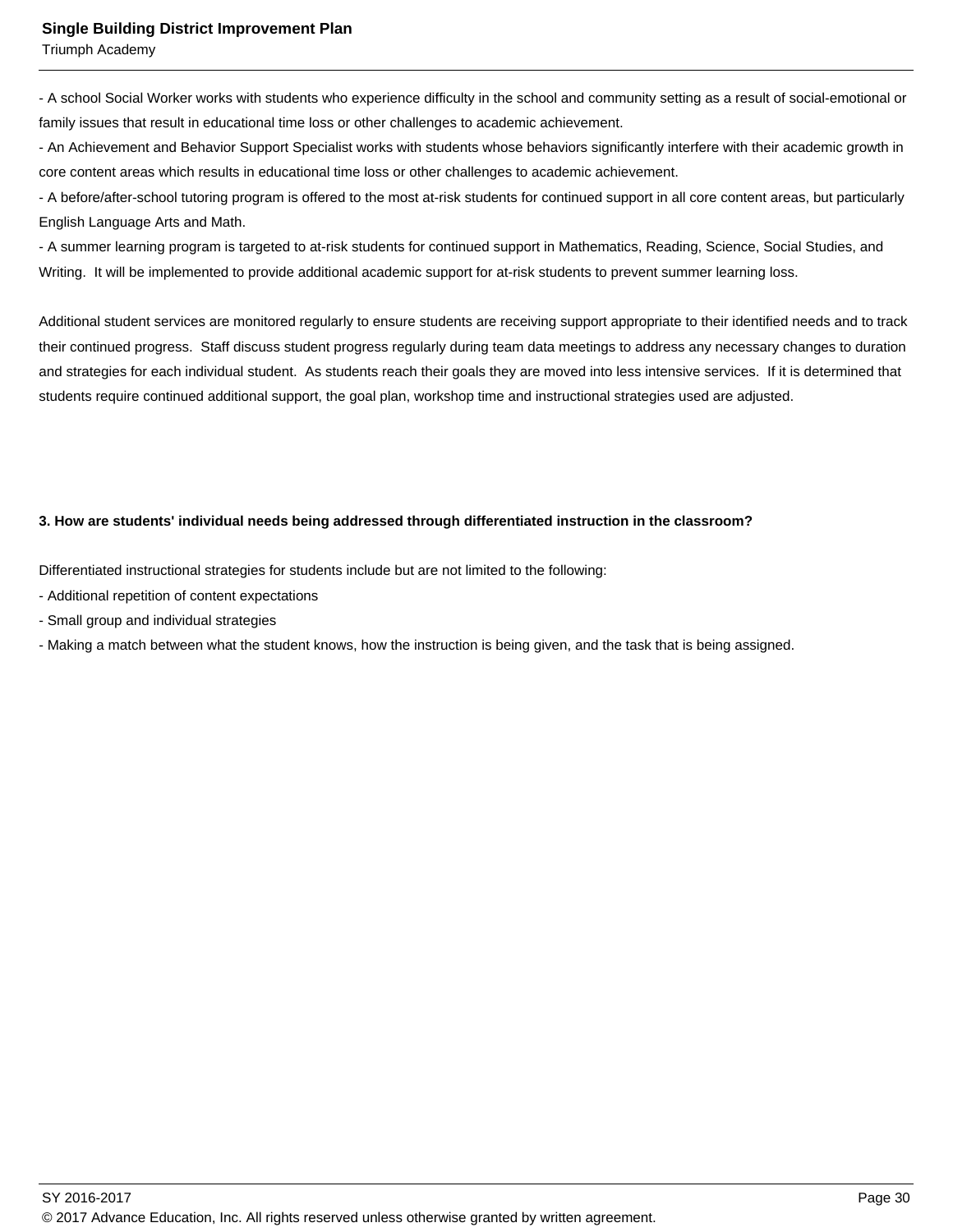Triumph Academy

- A school Social Worker works with students who experience difficulty in the school and community setting as a result of social-emotional or family issues that result in educational time loss or other challenges to academic achievement.

- An Achievement and Behavior Support Specialist works with students whose behaviors significantly interfere with their academic growth in core content areas which results in educational time loss or other challenges to academic achievement.

- A before/after-school tutoring program is offered to the most at-risk students for continued support in all core content areas, but particularly English Language Arts and Math.

- A summer learning program is targeted to at-risk students for continued support in Mathematics, Reading, Science, Social Studies, and Writing. It will be implemented to provide additional academic support for at-risk students to prevent summer learning loss.

Additional student services are monitored regularly to ensure students are receiving support appropriate to their identified needs and to track their continued progress. Staff discuss student progress regularly during team data meetings to address any necessary changes to duration and strategies for each individual student. As students reach their goals they are moved into less intensive services. If it is determined that students require continued additional support, the goal plan, workshop time and instructional strategies used are adjusted.

#### **3. How are students' individual needs being addressed through differentiated instruction in the classroom?**

Differentiated instructional strategies for students include but are not limited to the following:

- Additional repetition of content expectations
- Small group and individual strategies
- Making a match between what the student knows, how the instruction is being given, and the task that is being assigned.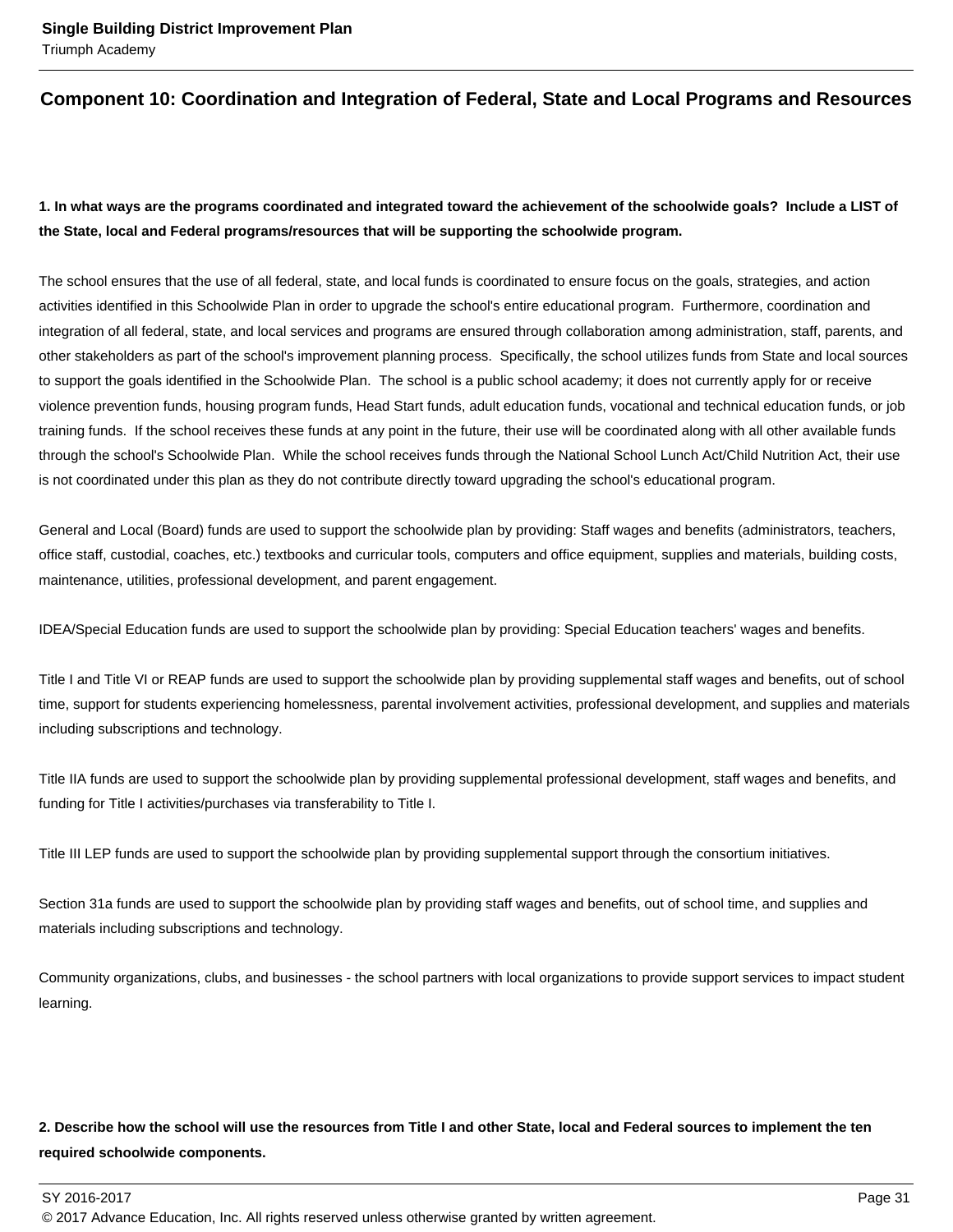## **Component 10: Coordination and Integration of Federal, State and Local Programs and Resources**

## **1. In what ways are the programs coordinated and integrated toward the achievement of the schoolwide goals? Include a LIST of the State, local and Federal programs/resources that will be supporting the schoolwide program.**

The school ensures that the use of all federal, state, and local funds is coordinated to ensure focus on the goals, strategies, and action activities identified in this Schoolwide Plan in order to upgrade the school's entire educational program. Furthermore, coordination and integration of all federal, state, and local services and programs are ensured through collaboration among administration, staff, parents, and other stakeholders as part of the school's improvement planning process. Specifically, the school utilizes funds from State and local sources to support the goals identified in the Schoolwide Plan. The school is a public school academy; it does not currently apply for or receive violence prevention funds, housing program funds, Head Start funds, adult education funds, vocational and technical education funds, or job training funds. If the school receives these funds at any point in the future, their use will be coordinated along with all other available funds through the school's Schoolwide Plan. While the school receives funds through the National School Lunch Act/Child Nutrition Act, their use is not coordinated under this plan as they do not contribute directly toward upgrading the school's educational program.

General and Local (Board) funds are used to support the schoolwide plan by providing: Staff wages and benefits (administrators, teachers, office staff, custodial, coaches, etc.) textbooks and curricular tools, computers and office equipment, supplies and materials, building costs, maintenance, utilities, professional development, and parent engagement.

IDEA/Special Education funds are used to support the schoolwide plan by providing: Special Education teachers' wages and benefits.

Title I and Title VI or REAP funds are used to support the schoolwide plan by providing supplemental staff wages and benefits, out of school time, support for students experiencing homelessness, parental involvement activities, professional development, and supplies and materials including subscriptions and technology.

Title IIA funds are used to support the schoolwide plan by providing supplemental professional development, staff wages and benefits, and funding for Title I activities/purchases via transferability to Title I.

Title III LEP funds are used to support the schoolwide plan by providing supplemental support through the consortium initiatives.

Section 31a funds are used to support the schoolwide plan by providing staff wages and benefits, out of school time, and supplies and materials including subscriptions and technology.

Community organizations, clubs, and businesses - the school partners with local organizations to provide support services to impact student learning.

## **2. Describe how the school will use the resources from Title I and other State, local and Federal sources to implement the ten required schoolwide components.**

© 2017 Advance Education, Inc. All rights reserved unless otherwise granted by written agreement.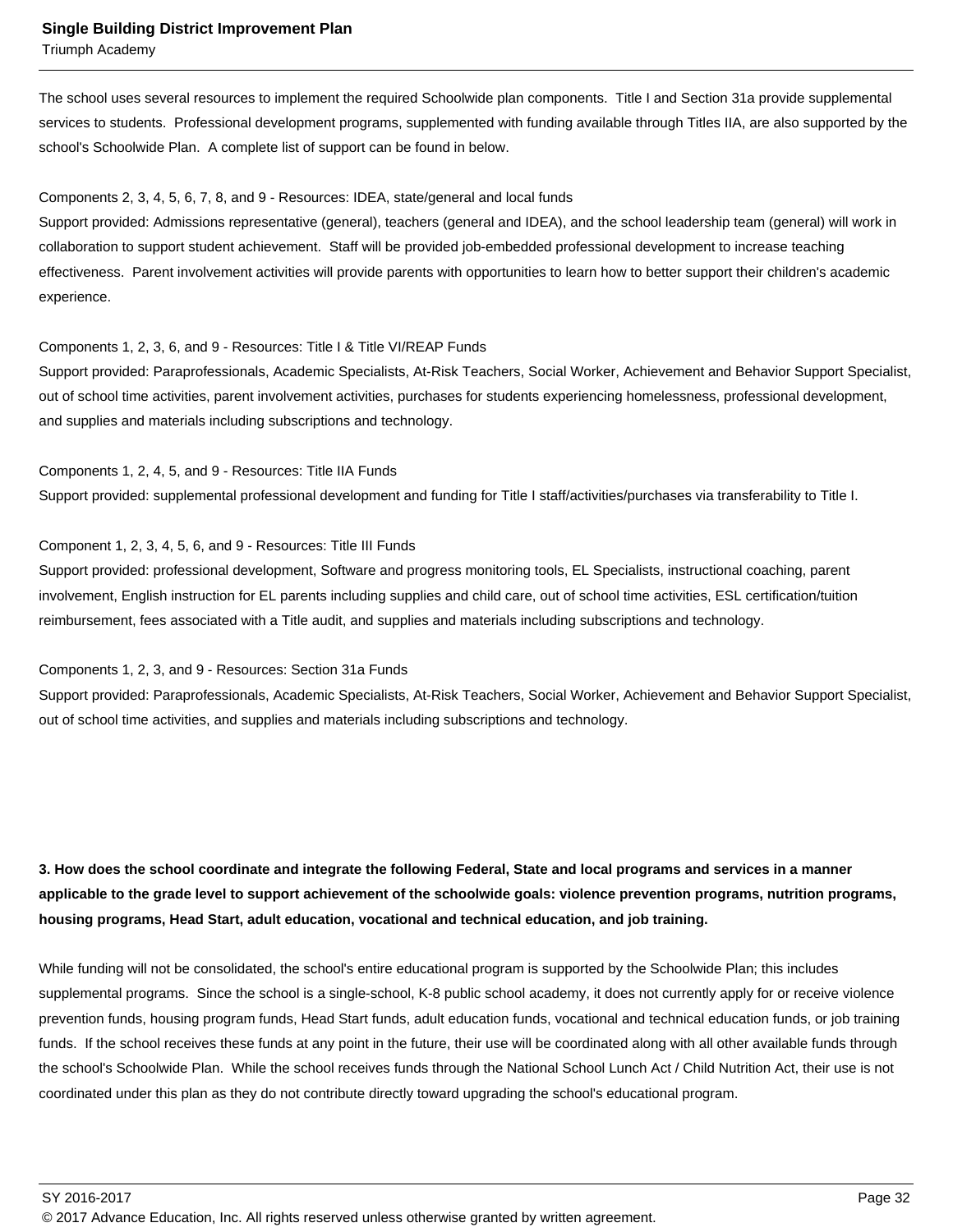Triumph Academy

The school uses several resources to implement the required Schoolwide plan components. Title I and Section 31a provide supplemental services to students. Professional development programs, supplemented with funding available through Titles IIA, are also supported by the school's Schoolwide Plan. A complete list of support can be found in below.

#### Components 2, 3, 4, 5, 6, 7, 8, and 9 - Resources: IDEA, state/general and local funds

Support provided: Admissions representative (general), teachers (general and IDEA), and the school leadership team (general) will work in collaboration to support student achievement. Staff will be provided job-embedded professional development to increase teaching effectiveness. Parent involvement activities will provide parents with opportunities to learn how to better support their children's academic experience.

#### Components 1, 2, 3, 6, and 9 - Resources: Title I & Title VI/REAP Funds

Support provided: Paraprofessionals, Academic Specialists, At-Risk Teachers, Social Worker, Achievement and Behavior Support Specialist, out of school time activities, parent involvement activities, purchases for students experiencing homelessness, professional development, and supplies and materials including subscriptions and technology.

Components 1, 2, 4, 5, and 9 - Resources: Title IIA Funds Support provided: supplemental professional development and funding for Title I staff/activities/purchases via transferability to Title I.

#### Component 1, 2, 3, 4, 5, 6, and 9 - Resources: Title III Funds

Support provided: professional development, Software and progress monitoring tools, EL Specialists, instructional coaching, parent involvement, English instruction for EL parents including supplies and child care, out of school time activities, ESL certification/tuition reimbursement, fees associated with a Title audit, and supplies and materials including subscriptions and technology.

Components 1, 2, 3, and 9 - Resources: Section 31a Funds

Support provided: Paraprofessionals, Academic Specialists, At-Risk Teachers, Social Worker, Achievement and Behavior Support Specialist, out of school time activities, and supplies and materials including subscriptions and technology.

**3. How does the school coordinate and integrate the following Federal, State and local programs and services in a manner applicable to the grade level to support achievement of the schoolwide goals: violence prevention programs, nutrition programs, housing programs, Head Start, adult education, vocational and technical education, and job training.** 

While funding will not be consolidated, the school's entire educational program is supported by the Schoolwide Plan; this includes supplemental programs. Since the school is a single-school, K-8 public school academy, it does not currently apply for or receive violence prevention funds, housing program funds, Head Start funds, adult education funds, vocational and technical education funds, or job training funds. If the school receives these funds at any point in the future, their use will be coordinated along with all other available funds through the school's Schoolwide Plan. While the school receives funds through the National School Lunch Act / Child Nutrition Act, their use is not coordinated under this plan as they do not contribute directly toward upgrading the school's educational program.